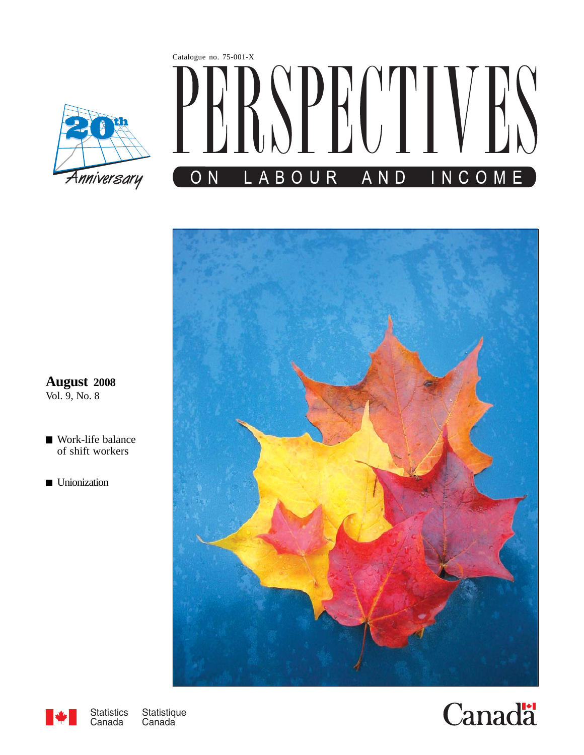





**August 2008** Vol. 9, No. 8

- [Work-life balance](#page-2-0) of shift workers
- **[Unionization](#page-16-0)**



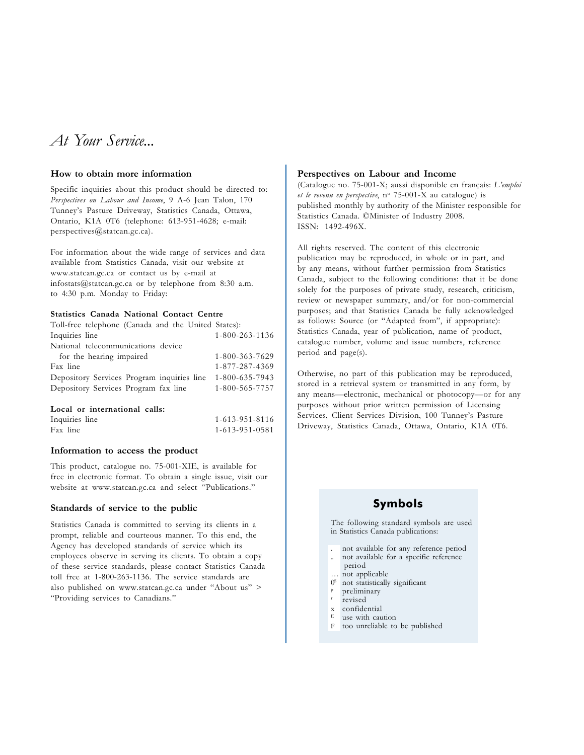# At Your Service...

#### How to obtain more information

Specific inquiries about this product should be directed to: Perspectives on Labour and Income, 9 A-6 Jean Talon, 170 Tunney's Pasture Driveway, Statistics Canada, Ottawa, Ontario, K1A 0T6 (telephone: 613-951-4628; e-mail: perspectives@statcan.gc.ca).

For information about the wide range of services and data available from Statistics Canada, visit our website at www.statcan.gc.ca or contact us by e-mail at infostats@statcan.gc.ca or by telephone from 8:30 a.m. to 4:30 p.m. Monday to Friday:

#### Statistics Canada National Contact Centre

| Toll-free telephone (Canada and the United States): |                |
|-----------------------------------------------------|----------------|
| Inquiries line                                      | 1-800-263-1136 |
| National telecommunications device                  |                |
| for the hearing impaired                            | 1-800-363-7629 |
| Fax line                                            | 1-877-287-4369 |
| Depository Services Program inquiries line          | 1-800-635-7943 |
| Depository Services Program fax line                | 1-800-565-7757 |
|                                                     |                |

#### Local or international calls:

Inquiries line 1-613-951-8116 Fax line 1-613-951-0581

#### Information to access the product

This product, catalogue no. 75-001-XIE, is available for free in electronic format. To obtain a single issue, visit our website at www.statcan.gc.ca and select "Publications."

#### Standards of service to the public

Statistics Canada is committed to serving its clients in a prompt, reliable and courteous manner. To this end, the Agency has developed standards of service which its employees observe in serving its clients. To obtain a copy of these service standards, please contact Statistics Canada toll free at 1-800-263-1136. The service standards are also published on www.statcan.gc.ca under "About us" > "Providing services to Canadians."

#### Perspectives on Labour and Income

(Catalogue no. 75-001-X; aussi disponible en français: L'emploi et le revenu en perspective, n° 75-001-X au catalogue) is published monthly by authority of the Minister responsible for Statistics Canada. ©Minister of Industry 2008. ISSN: 1492-496X.

All rights reserved. The content of this electronic publication may be reproduced, in whole or in part, and by any means, without further permission from Statistics Canada, subject to the following conditions: that it be done solely for the purposes of private study, research, criticism, review or newspaper summary, and/or for non-commercial purposes; and that Statistics Canada be fully acknowledged as follows: Source (or "Adapted from", if appropriate): Statistics Canada, year of publication, name of product, catalogue number, volume and issue numbers, reference period and page(s).

Otherwise, no part of this publication may be reproduced, stored in a retrieval system or transmitted in any form, by any means—electronic, mechanical or photocopy—or for any purposes without prior written permission of Licensing Services, Client Services Division, 100 Tunney's Pasture Driveway, Statistics Canada, Ottawa, Ontario, K1A 0T6.

### Symbols

The following standard symbols are used in Statistics Canada publications:

- . not available for any reference period
- not available for a specific reference
- period … not applicable
- $0<sup>s</sup>$  not statistically significant preliminary<br>revised
- 
- 
- $x \nconflential$
- use with caution
- F too unreliable to be published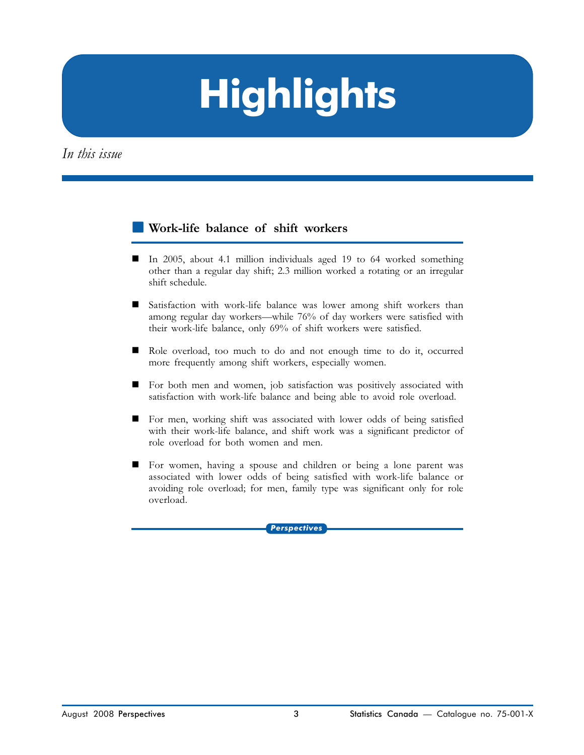# **Highlights**

<span id="page-2-0"></span>In this issue

#### -[Work-life balance of shift workers](#page-4-0)

- - In 2005, about 4.1 million individuals aged 19 to 64 worked something other than a regular day shift; 2.3 million worked a rotating or an irregular shift schedule.
- Satisfaction with work-life balance was lower among shift workers than among regular day workers—while 76% of day workers were satisfied with their work-life balance, only 69% of shift workers were satisfied.
- - Role overload, too much to do and not enough time to do it, occurred more frequently among shift workers, especially women.
- - For both men and women, job satisfaction was positively associated with satisfaction with work-life balance and being able to avoid role overload.
- For men, working shift was associated with lower odds of being satisfied with their work-life balance, and shift work was a significant predictor of role overload for both women and men.
- For women, having a spouse and children or being a lone parent was associated with lower odds of being satisfied with work-life balance or avoiding role overload; for men, family type was significant only for role overload.

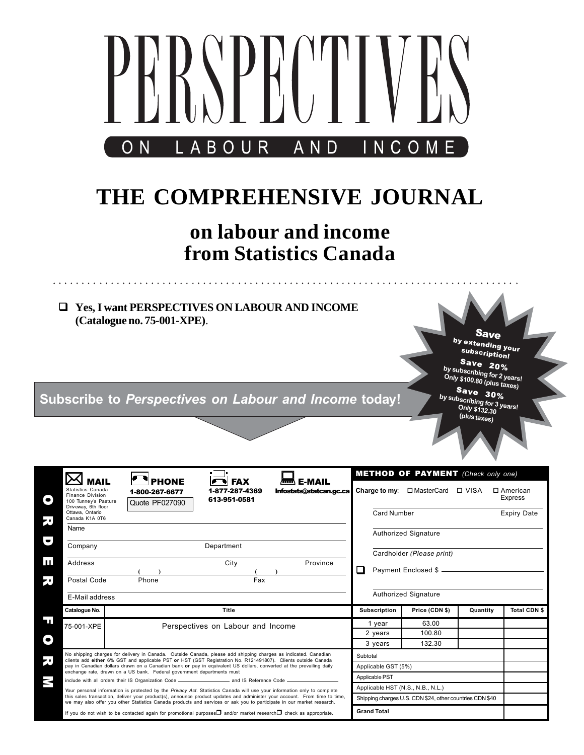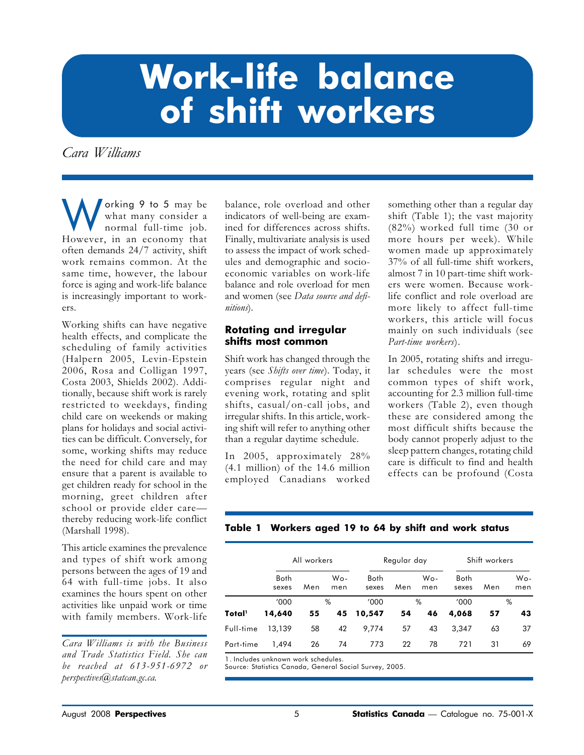# <span id="page-4-0"></span>Work-life balance of shift workers

Cara Williams

orking 9 to 5 may be what many consider a normal full-time job. However, in an economy that often demands 24/7 activity, shift work remains common. At the same time, however, the labour force is aging and work-life balance is increasingly important to workers.

Working shifts can have negative health effects, and complicate the scheduling of family activities (Halpern 2005, Levin-Epstein 2006, Rosa and Colligan 1997, Costa 2003, Shields 2002). Additionally, because shift work is rarely restricted to weekdays, finding child care on weekends or making plans for holidays and social activities can be difficult. Conversely, for some, working shifts may reduce the need for child care and may ensure that a parent is available to get children ready for school in the morning, greet children after school or provide elder care thereby reducing work-life conflict (Marshall 1998).

This article examines the prevalence and types of shift work among persons between the ages of 19 and 64 with full-time jobs. It also examines the hours spent on other activities like unpaid work or time with family members. Work-life

Cara Williams is with the Business and Trade Statistics Field. She can be reached at 613-951-6972 or perspectives@statcan.gc.ca.

balance, role overload and other indicators of well-being are examined for differences across shifts. Finally, multivariate analysis is used to assess the impact of work schedules and demographic and socioeconomic variables on work-life balance and role overload for men and women (see Data source and definitions).

#### Rotating and irregular shifts most common

Shift work has changed through the years (see Shifts over time). Today, it comprises regular night and evening work, rotating and split shifts, casual/on-call jobs, and irregular shifts. In this article, working shift will refer to anything other than a regular daytime schedule.

In 2005, approximately 28% (4.1 million) of the 14.6 million employed Canadians worked something other than a regular day shift (Table 1); the vast majority (82%) worked full time (30 or more hours per week). While women made up approximately 37% of all full-time shift workers, almost 7 in 10 part-time shift workers were women. Because worklife conflict and role overload are more likely to affect full-time workers, this article will focus mainly on such individuals (see Part-time workers).

In 2005, rotating shifts and irregular schedules were the most common types of shift work, accounting for 2.3 million full-time workers (Table 2), even though these are considered among the most difficult shifts because the body cannot properly adjust to the sleep pattern changes, rotating child care is difficult to find and health effects can be profound (Costa

#### Table 1 Workers aged 19 to 64 by shift and work status

|           | All workers          |     | Regular day |                      |     | Shift workers |                      |     |            |
|-----------|----------------------|-----|-------------|----------------------|-----|---------------|----------------------|-----|------------|
|           | <b>Both</b><br>sexes | Men | Wo-<br>men  | <b>Both</b><br>sexes | Men | Wo-<br>men    | <b>Both</b><br>sexes | Men | Wo-<br>men |
|           | '000                 |     | %           | '000                 |     | %             | '000                 |     | %          |
| Total'    | 14,640               | 55  | 45          | 10,547               | 54  | 46            | 4,068                | 57  | 43         |
| Full-time | 13,139               | 58  | 42          | 9,774                | 57  | 43            | 3.347                | 63  | 37         |
| Part-time | 1,494                | 26  | 74          | 773                  | 22  | 78            | 721                  | 31  | 69         |

1. Includes unknown work schedules.

Source: Statistics Canada, General Social Survey, 2005.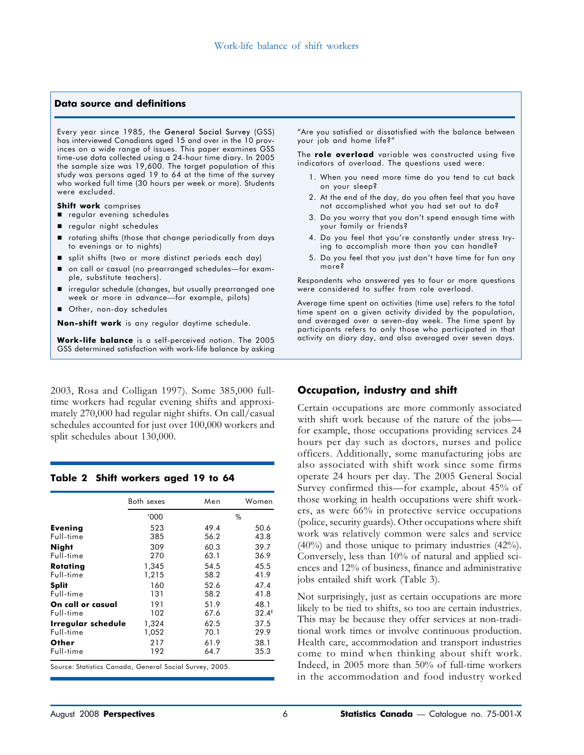#### Data source and definitions

Every year since 1985, the General Social Survey (GSS) has interviewed Canadians aged 15 and over in the 10 provinces on a wide range of issues. This paper examines GSS time-use data collected using a 24-hour time diary. In 2005 the sample size was 19,600. The target population of this study was persons aged 19 to 64 at the time of the survey who worked full time (30 hours per week or more). Students were excluded.

Shift work comprises

■ regular evening schedules

- regular night schedules
- rotating shifts (those that change periodically from days to evenings or to nights)
- split shifts (two or more distinct periods each day)
- on call or casual (no prearranged schedules—for example, substitute teachers).
- irregular schedule (changes, but usually prearranged one week or more in advance—for example, pilots)
- Other, non-day schedules

Non-shift work is any regular daytime schedule.

Work-life balance is a self-perceived notion. The 2005 GSS determined satisfaction with work-life balance by asking

2003, Rosa and Colligan 1997). Some 385,000 fulltime workers had regular evening shifts and approximately 270,000 had regular night shifts. On call/casual schedules accounted for just over 100,000 workers and split schedules about 130,000.

| Table 2 Shift workers aged 19 to 64 |  |  |  |  |
|-------------------------------------|--|--|--|--|
|-------------------------------------|--|--|--|--|

|                    | Both sexes | Men  | Women    |
|--------------------|------------|------|----------|
|                    | '000       | %    |          |
| Evening            | 523        | 49.4 | 50.6     |
| Full-time          | 385        | 56.2 | 43.8     |
| <b>Night</b>       | 309        | 60.3 | 39.7     |
| Full-time          | 270        | 63.1 | 36.9     |
| Rotating           | 1,345      | 54.5 | 45.5     |
| Full-time          | 1,215      | 58.2 | 41.9     |
| <b>Split</b>       | 160        | 52.6 | 47.4     |
| Full-time          | 131        | 58.2 | 41.8     |
| On call or casual  | 191        | 51.9 | 48.1     |
| Full-time          | 102        | 67.6 | $32.4^E$ |
| Irregular schedule | 1,324      | 62.5 | 37.5     |
| Full-time          | 1,052      | 70.1 | 29.9     |
| Other              | 217        | 61.9 | 38.1     |
| Full-time          | 192        | 64.7 | 35.3     |

Source: Statistics Canada, General Social Survey, 2005.

"Are you satisfied or dissatisfied with the balance between your job and home life?"

The role overload variable was constructed using five indicators of overload. The questions used were:

- 1. When you need more time do you tend to cut back on your sleep?
- 2. At the end of the day, do you often feel that you have not accomplished what you had set out to do?
- 3. Do you worry that you don't spend enough time with your family or friends?
- 4. Do you feel that you're constantly under stress trying to accomplish more than you can handle?
- 5. Do you feel that you just don't have time for fun any more?

Respondents who answered yes to four or more questions were considered to suffer from role overload.

Average time spent on activities (time use) refers to the total time spent on a given activity divided by the population, and averaged over a seven-day week. The time spent by participants refers to only those who participated in that activity on diary day, and also averaged over seven days.

#### Occupation, industry and shift

Certain occupations are more commonly associated with shift work because of the nature of the jobs for example, those occupations providing services 24 hours per day such as doctors, nurses and police officers. Additionally, some manufacturing jobs are also associated with shift work since some firms operate 24 hours per day. The 2005 General Social Survey confirmed this—for example, about 45% of those working in health occupations were shift workers, as were 66% in protective service occupations (police, security guards). Other occupations where shift work was relatively common were sales and service (40%) and those unique to primary industries (42%). Conversely, less than 10% of natural and applied sciences and 12% of business, finance and administrative jobs entailed shift work (Table 3).

Not surprisingly, just as certain occupations are more likely to be tied to shifts, so too are certain industries. This may be because they offer services at non-traditional work times or involve continuous production. Health care, accommodation and transport industries come to mind when thinking about shift work. Indeed, in 2005 more than 50% of full-time workers in the accommodation and food industry worked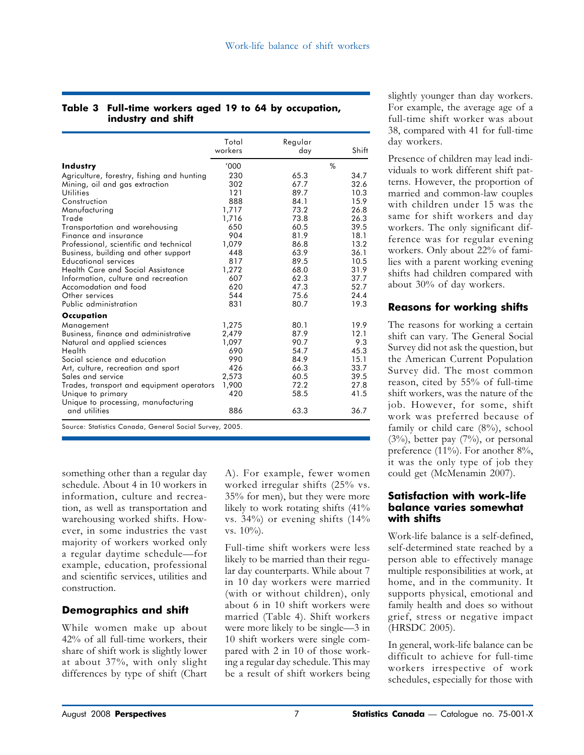#### Table 3 Full-time workers aged 19 to 64 by occupation, industry and shift

|                                                         | Total<br>workers | Regular<br>day | Shift |
|---------------------------------------------------------|------------------|----------------|-------|
| <b>Industry</b>                                         | '000             |                | $\%$  |
| Agriculture, forestry, fishing and hunting              | 230              | 65.3           | 34.7  |
| Mining, oil and gas extraction                          | 302              | 67.7           | 32.6  |
| Utilities                                               | 121              | 89.7           | 10.3  |
| Construction                                            | 888              | 84.1           | 15.9  |
| Manufacturing                                           | 1,717            | 73.2           | 26.8  |
| Trade                                                   | 1,716            | 73.8           | 26.3  |
| Transportation and warehousing                          | 650              | 60.5           | 39.5  |
| Finance and insurance                                   | 904              | 81.9           | 18.1  |
| Professional, scientific and technical                  | 1,079            | 86.8           | 13.2  |
| Business, building and other support                    | 448              | 63.9           | 36.1  |
| Educational services                                    | 817              | 89.5           | 10.5  |
| Health Care and Social Assistance                       | 1,272            | 68.0           | 31.9  |
| Information, culture and recreation                     | 607              | 62.3           | 37.7  |
| Accomodation and food                                   | 620              | 47.3           | 52.7  |
| Other services                                          | 544              | 75.6           | 24.4  |
| Public administration                                   | 831              | 80.7           | 19.3  |
| Occupation                                              |                  |                |       |
| Management                                              | 1,275            | 80.1           | 19.9  |
| Business, finance and administrative                    | 2,479            | 87.9           | 12.1  |
| Natural and applied sciences                            | 1,097            | 90.7           | 9.3   |
| Health                                                  | 690              | 54.7           | 45.3  |
| Social science and education                            | 990              | 84.9           | 15.1  |
| Art, culture, recreation and sport                      | 426              | 66.3           | 33.7  |
| Sales and service                                       | 2,573            | 60.5           | 39.5  |
| Trades, transport and equipment operators               | 1,900            | 72.2           | 27.8  |
| Unique to primary                                       | 420              | 58.5           | 41.5  |
| Unique to processing, manufacturing                     |                  |                |       |
| and utilities                                           | 886              | 63.3           | 36.7  |
| Source: Statistics Canada, General Social Survey, 2005. |                  |                |       |

something other than a regular day schedule. About 4 in 10 workers in information, culture and recreation, as well as transportation and warehousing worked shifts. However, in some industries the vast majority of workers worked only a regular daytime schedule—for example, education, professional and scientific services, utilities and construction.

# Demographics and shift

While women make up about 42% of all full-time workers, their share of shift work is slightly lower at about 37%, with only slight differences by type of shift (Chart

A). For example, fewer women worked irregular shifts (25% vs. 35% for men), but they were more likely to work rotating shifts (41% vs. 34%) or evening shifts (14% vs.  $10\%$ ).

Full-time shift workers were less likely to be married than their regular day counterparts. While about 7 in 10 day workers were married (with or without children), only about 6 in 10 shift workers were married (Table 4). Shift workers were more likely to be single—3 in 10 shift workers were single compared with 2 in 10 of those working a regular day schedule. This may be a result of shift workers being slightly younger than day workers. For example, the average age of a full-time shift worker was about 38, compared with 41 for full-time day workers.

Presence of children may lead individuals to work different shift patterns. However, the proportion of married and common-law couples with children under 15 was the same for shift workers and day workers. The only significant difference was for regular evening workers. Only about 22% of families with a parent working evening shifts had children compared with about 30% of day workers.

# Reasons for working shifts

The reasons for working a certain shift can vary. The General Social Survey did not ask the question, but the American Current Population Survey did. The most common reason, cited by 55% of full-time shift workers, was the nature of the job. However, for some, shift work was preferred because of family or child care (8%), school  $(3\%)$ , better pay  $(7\%)$ , or personal preference (11%). For another 8%, it was the only type of job they could get (McMenamin 2007).

### Satisfaction with work-life balance varies somewhat with shifts

Work-life balance is a self-defined, self-determined state reached by a person able to effectively manage multiple responsibilities at work, at home, and in the community. It supports physical, emotional and family health and does so without grief, stress or negative impact (HRSDC 2005).

In general, work-life balance can be difficult to achieve for full-time workers irrespective of work schedules, especially for those with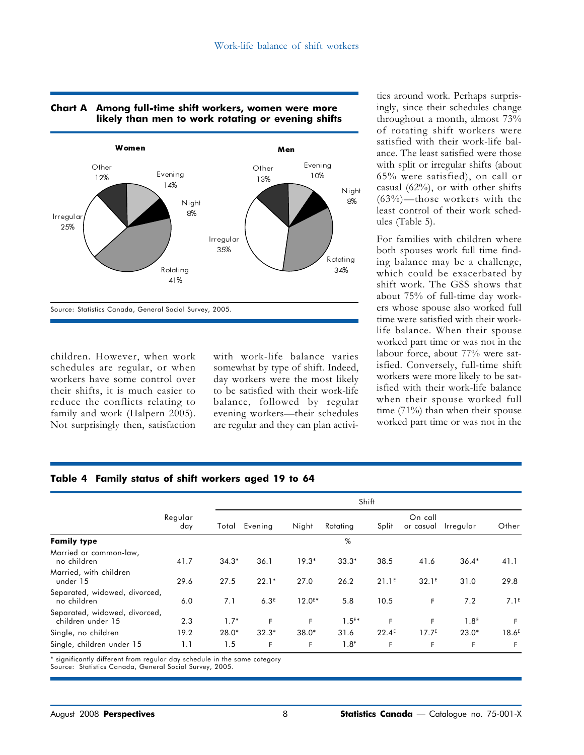

# Chart A Among full-time shift workers, women were more likely than men to work rotating or evening shifts

children. However, when work schedules are regular, or when workers have some control over their shifts, it is much easier to reduce the conflicts relating to family and work (Halpern 2005). Not surprisingly then, satisfaction

with work-life balance varies somewhat by type of shift. Indeed, day workers were the most likely to be satisfied with their work-life balance, followed by regular evening workers—their schedules are regular and they can plan activi-

ties around work. Perhaps surprisingly, since their schedules change throughout a month, almost 73% of rotating shift workers were satisfied with their work-life balance. The least satisfied were those with split or irregular shifts (about 65% were satisfied), on call or casual (62%), or with other shifts (63%)—those workers with the least control of their work schedules (Table 5).

For families with children where both spouses work full time finding balance may be a challenge, which could be exacerbated by shift work. The GSS shows that about 75% of full-time day workers whose spouse also worked full time were satisfied with their worklife balance. When their spouse worked part time or was not in the labour force, about 77% were satisfied. Conversely, full-time shift workers were more likely to be satisfied with their work-life balance when their spouse worked full time (71%) than when their spouse worked part time or was not in the

|                                                    |                |         |                  |                      |                  | Shift             |                      |                  |                   |
|----------------------------------------------------|----------------|---------|------------------|----------------------|------------------|-------------------|----------------------|------------------|-------------------|
|                                                    | Regular<br>day | Total   | Evening          | Night                | Rotating         | Split             | On call<br>or casual | Irregular        | Other             |
| <b>Family type</b>                                 |                |         |                  |                      | %                |                   |                      |                  |                   |
| Married or common-law,<br>no children              | 41.7           | $34.3*$ | 36.1             | $19.3*$              | $33.3*$          | 38.5              | 41.6                 | $36.4*$          | 41.1              |
| Married, with children<br>under 15                 | 29.6           | 27.5    | $22.1*$          | 27.0                 | 26.2             | 21.1 <sup>E</sup> | 32.1 <sup>E</sup>    | 31.0             | 29.8              |
| Separated, widowed, divorced,<br>no children       | 6.0            | 7.1     | 6.3 <sup>E</sup> | $12.0$ <sup>E*</sup> | 5.8              | 10.5              | F.                   | 7.2              | 7.1 <sup>E</sup>  |
| Separated, widowed, divorced,<br>children under 15 | 2.3            | $1.7*$  | F                | F                    | $1.5E*$          | F                 | F                    | 1.8 <sup>E</sup> | F.                |
| Single, no children                                | 19.2           | $28.0*$ | $32.3*$          | $38.0*$              | 31.6             | 22.4 <sup>E</sup> | 17.7 <sup>E</sup>    | $23.0*$          | 18.6 <sup>E</sup> |
| Single, children under 15                          | 1.1            | 1.5     | F                | F                    | 1.8 <sup>E</sup> | F                 | F                    | F                | F                 |

#### Table 4 Family status of shift workers aged 19 to 64

\* significantly different from regular day schedule in the same category

Source: Statistics Canada, General Social Survey, 2005.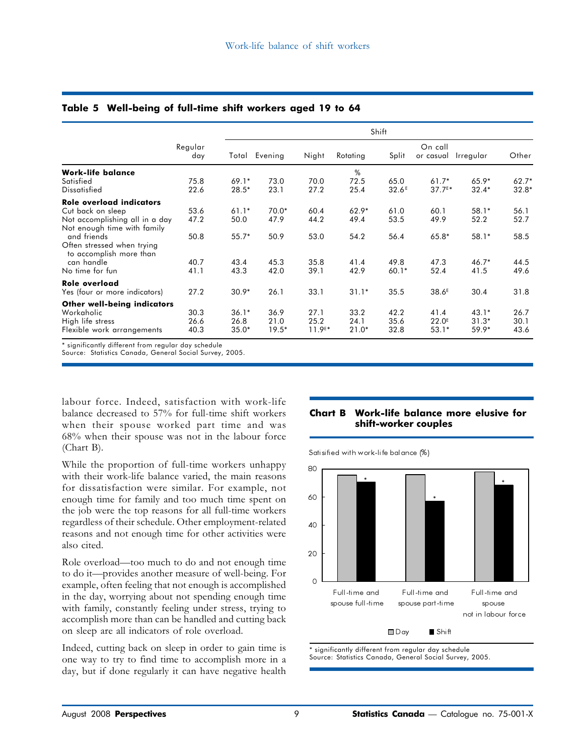|                                                                                                                               |                      | Shift                      |                         |                             |                         |                           |                                      |                               |                      |
|-------------------------------------------------------------------------------------------------------------------------------|----------------------|----------------------------|-------------------------|-----------------------------|-------------------------|---------------------------|--------------------------------------|-------------------------------|----------------------|
|                                                                                                                               | Regular<br>day       | Total                      | Evening                 | Night                       | Rotating                | Split                     | On call<br>or casual                 | Irregular                     | Other                |
| <b>Work-life balance</b><br>Satisfied<br><b>Dissatisfied</b>                                                                  | 75.8<br>22.6         | $69.1*$<br>$28.5*$         | 73.0<br>23.1            | 70.0<br>27.2                | %<br>72.5<br>25.4       | 65.0<br>32.6 <sup>E</sup> | $61.7*$<br>$37.7^{E*}$               | $65.9*$<br>$32.4*$            | $62.7*$<br>$32.8*$   |
| Role overload indicators<br>Cut back on sleep<br>Not accomplishing all in a day<br>Not enough time with family<br>and friends | 53.6<br>47.2<br>50.8 | $61.1*$<br>50.0<br>$55.7*$ | $70.0*$<br>47.9<br>50.9 | 60.4<br>44.2<br>53.0        | $62.9*$<br>49.4<br>54.2 | 61.0<br>53.5<br>56.4      | 60.1<br>49.9<br>$65.8*$              | $58.1*$<br>52.2<br>$58.1*$    | 56.1<br>52.7<br>58.5 |
| Often stressed when trying<br>to accomplish more than<br>can handle<br>No time for fun                                        | 40.7<br>41.1         | 43.4<br>43.3               | 45.3<br>42.0            | 35.8<br>39.1                | 41.4<br>42.9            | 49.8<br>$60.1*$           | 47.3<br>52.4                         | $46.7*$<br>41.5               | 44.5<br>49.6         |
| Role overload<br>Yes (four or more indicators)                                                                                | 27.2                 | $30.9*$                    | 26.1                    | 33.1                        | $31.1*$                 | 35.5                      | 38.6 <sup>E</sup>                    | 30.4                          | 31.8                 |
| Other well-being indicators<br>Workaholic<br>High life stress<br>Flexible work arrangements                                   | 30.3<br>26.6<br>40.3 | $36.1*$<br>26.8<br>$35.0*$ | 36.9<br>21.0<br>$19.5*$ | 27.1<br>25.2<br>$11.9^{E*}$ | 33.2<br>24.1<br>$21.0*$ | 42.2<br>35.6<br>32.8      | 41.4<br>22.0 <sup>E</sup><br>$53.1*$ | $43.1*$<br>$31.3*$<br>$59.9*$ | 26.7<br>30.1<br>43.6 |

#### Table 5 Well-being of full-time shift workers aged 19 to 64

\* significantly different from regular day schedule

Source: Statistics Canada, General Social Survey, 2005.

labour force. Indeed, satisfaction with work-life balance decreased to 57% for full-time shift workers when their spouse worked part time and was 68% when their spouse was not in the labour force (Chart B).

While the proportion of full-time workers unhappy with their work-life balance varied, the main reasons for dissatisfaction were similar. For example, not enough time for family and too much time spent on the job were the top reasons for all full-time workers regardless of their schedule. Other employment-related reasons and not enough time for other activities were also cited.

Role overload—too much to do and not enough time to do it—provides another measure of well-being. For example, often feeling that not enough is accomplished in the day, worrying about not spending enough time with family, constantly feeling under stress, trying to accomplish more than can be handled and cutting back on sleep are all indicators of role overload.

Indeed, cutting back on sleep in order to gain time is one way to try to find time to accomplish more in a day, but if done regularly it can have negative health

#### Chart B Work-life balance more elusive for shift-worker couples

Satisified with work-life balance (%)



\* significantly different from regular day schedule Source: Statistics Canada, General Social Survey, 2005.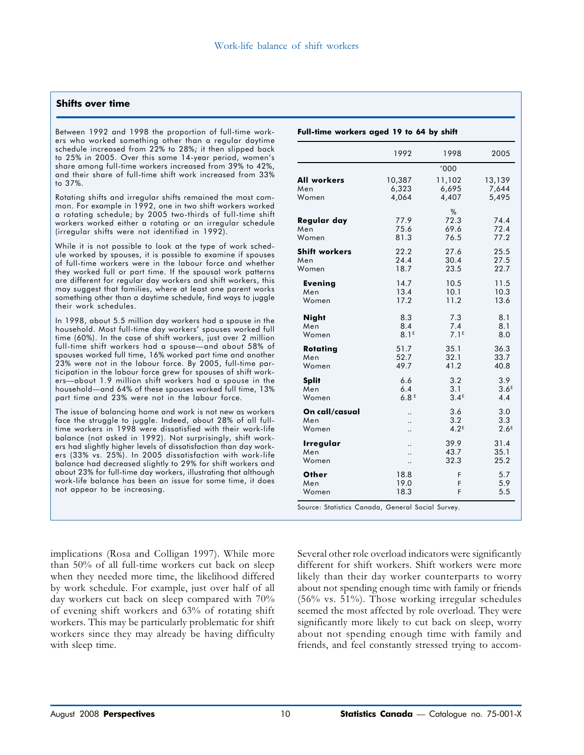#### Shifts over time

Between 1992 and 1998 the proportion of full-time workers who worked something other than a regular daytime schedule increased from 22% to 28%; it then slipped back to 25% in 2005. Over this same 14-year period, women's share among full-time workers increased from 39% to 42%, and their share of full-time shift work increased from 33% to 37%.

Rotating shifts and irregular shifts remained the most common. For example in 1992, one in two shift workers worked a rotating schedule; by 2005 two-thirds of full-time shift workers worked either a rotating or an irregular schedule (irregular shifts were not identified in 1992).

While it is not possible to look at the type of work schedule worked by spouses, it is possible to examine if spouses of full-time workers were in the labour force and whether they worked full or part time. If the spousal work patterns are different for regular day workers and shift workers, this may suggest that families, where at least one parent works something other than a daytime schedule, find ways to juggle their work schedules.

In 1998, about 5.5 million day workers had a spouse in the household. Most full-time day workers' spouses worked full time (60%). In the case of shift workers, just over 2 million full-time shift workers had a spouse—and about 58% of spouses worked full time, 16% worked part time and another 23% were not in the labour force. By 2005, full-time participation in the labour force grew for spouses of shift workers—about 1.9 million shift workers had a spouse in the household—and 64% of these spouses worked full time, 13% part time and 23% were not in the labour force.

The issue of balancing home and work is not new as workers face the struggle to juggle. Indeed, about 28% of all fulltime workers in 1998 were dissatisfied with their work-life balance (not asked in 1992). Not surprisingly, shift workers had slightly higher levels of dissatisfaction than day workers (33% vs. 25%). In 2005 dissatisfaction with work-life balance had decreased slightly to 29% for shift workers and about 23% for full-time day workers, illustrating that although work-life balance has been an issue for some time, it does not appear to be increasing.

implications (Rosa and Colligan 1997). While more than 50% of all full-time workers cut back on sleep when they needed more time, the likelihood differed by work schedule. For example, just over half of all day workers cut back on sleep compared with 70% of evening shift workers and 63% of rotating shift workers. This may be particularly problematic for shift workers since they may already be having difficulty with sleep time.

|                                | 1992                     | 1998                           | 2005                           |
|--------------------------------|--------------------------|--------------------------------|--------------------------------|
|                                |                          | '000                           |                                |
| <b>All workers</b>             | 10,387                   | 11,102                         | 13,139                         |
| Men                            | 6,323                    | 6,695                          | 7,644                          |
| Women                          | 4,064                    | 4,407                          | 5,495                          |
| Regular day<br>Men<br>Women    | 77.9<br>75.6<br>81.3     | %<br>72.3<br>69.6<br>76.5      | 74.4<br>72.4<br>77.2           |
| <b>Shift workers</b>           | 22.2                     | 27.6                           | 25.5                           |
| Men                            | 24.4                     | 30.4                           | 27.5                           |
| Women                          | 18.7                     | 23.5                           | 22.7                           |
| <b>Evening</b>                 | 14.7                     | 10.5                           | 11.5                           |
| Men                            | 13.4                     | 10.1                           | 10.3                           |
| Women                          | 17.2                     | 11.2                           | 13.6                           |
| <b>Night</b>                   | 8.3                      | 7.3                            | 8.1                            |
| Men                            | 8.4                      | 7.4                            | 8.1                            |
| Women                          | 8.1 <sup>E</sup>         | 7.1 <sup>E</sup>               | 8.0                            |
| Rotating                       | 51.7                     | 35.1                           | 36.3                           |
| Men                            | 52.7                     | 32.1                           | 33.7                           |
| Women                          | 49.7                     | 41.2                           | 40.8                           |
| <b>Split</b>                   | 6.6                      | 3.2                            | 3.9                            |
| Men                            | 6.4                      | 3.1                            | 3.6 <sup>E</sup>               |
| Women                          | 6.8 <sup>E</sup>         | 3.4 <sup>E</sup>               | 4.4                            |
| On call/casual<br>Men<br>Women | <br>$\ddot{\phantom{a}}$ | 3.6<br>3.2<br>4.2 <sup>E</sup> | 3.0<br>3.3<br>2.6 <sup>E</sup> |
| Irregular                      | $\ddot{\phantom{a}}$     | 39.9                           | 31.4                           |
| Men                            | $\ddot{\phantom{a}}$     | 43.7                           | 35.1                           |
| Women                          |                          | 32.3                           | 25.2                           |
| Other                          | 18.8                     | F                              | 5.7                            |
| Men                            | 19.0                     | F                              | 5.9                            |
| Women                          | 18.3                     | F                              | 5.5                            |

Several other role overload indicators were significantly different for shift workers. Shift workers were more likely than their day worker counterparts to worry about not spending enough time with family or friends (56% vs. 51%). Those working irregular schedules seemed the most affected by role overload. They were significantly more likely to cut back on sleep, worry about not spending enough time with family and friends, and feel constantly stressed trying to accom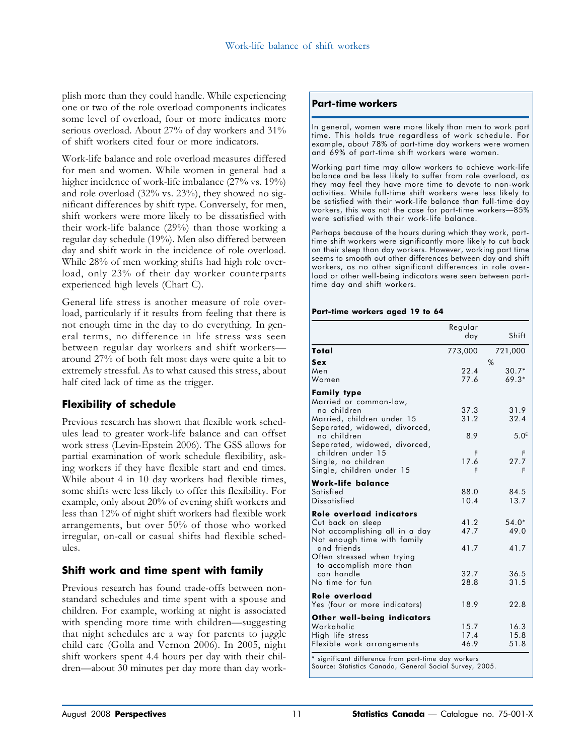plish more than they could handle. While experiencing one or two of the role overload components indicates some level of overload, four or more indicates more serious overload. About 27% of day workers and 31% of shift workers cited four or more indicators.

Work-life balance and role overload measures differed for men and women. While women in general had a higher incidence of work-life imbalance (27% vs. 19%) and role overload (32% vs. 23%), they showed no significant differences by shift type. Conversely, for men, shift workers were more likely to be dissatisfied with their work-life balance (29%) than those working a regular day schedule (19%). Men also differed between day and shift work in the incidence of role overload. While 28% of men working shifts had high role overload, only 23% of their day worker counterparts experienced high levels (Chart C).

General life stress is another measure of role overload, particularly if it results from feeling that there is not enough time in the day to do everything. In general terms, no difference in life stress was seen between regular day workers and shift workers around 27% of both felt most days were quite a bit to extremely stressful. As to what caused this stress, about half cited lack of time as the trigger.

# Flexibility of schedule

Previous research has shown that flexible work schedules lead to greater work-life balance and can offset work stress (Levin-Epstein 2006). The GSS allows for partial examination of work schedule flexibility, asking workers if they have flexible start and end times. While about 4 in 10 day workers had flexible times, some shifts were less likely to offer this flexibility. For example, only about 20% of evening shift workers and less than 12% of night shift workers had flexible work arrangements, but over 50% of those who worked irregular, on-call or casual shifts had flexible schedules.

## Shift work and time spent with family

Previous research has found trade-offs between nonstandard schedules and time spent with a spouse and children. For example, working at night is associated with spending more time with children—suggesting that night schedules are a way for parents to juggle child care (Golla and Vernon 2006). In 2005, night shift workers spent 4.4 hours per day with their children—about 30 minutes per day more than day work-

#### Part-time workers

In general, women were more likely than men to work part time. This holds true regardless of work schedule. For example, about 78% of part-time day workers were women and 69% of part-time shift workers were women.

Working part time may allow workers to achieve work-life balance and be less likely to suffer from role overload, as they may feel they have more time to devote to non-work activities. While full-time shift workers were less likely to be satisfied with their work-life balance than full-time day workers, this was not the case for part-time workers—85% were satisfied with their work-life balance.

Perhaps because of the hours during which they work, parttime shift workers were significantly more likely to cut back on their sleep than day workers. However, working part time seems to smooth out other differences between day and shift workers, as no other significant differences in role overload or other well-being indicators were seen between parttime day and shift workers.

#### Part-time workers aged 19 to 64

|                                                                                                                                                                                                                                                     | Regular<br>day                        | Shift                                              |
|-----------------------------------------------------------------------------------------------------------------------------------------------------------------------------------------------------------------------------------------------------|---------------------------------------|----------------------------------------------------|
| Total                                                                                                                                                                                                                                               | 773,000                               | 721,000                                            |
| Sex<br>Men<br>Women                                                                                                                                                                                                                                 | 22.4<br>77.6                          | $\%$<br>$30.7*$<br>$69.3*$                         |
| <b>Family type</b><br>Married or common-law,<br>no children<br>Married, children under 15<br>Separated, widowed, divorced,<br>no children<br>Separated, widowed, divorced,<br>children under 15<br>Single, no children<br>Single, children under 15 | 37.3<br>31.2<br>8.9<br>F<br>17.6<br>F | 31.9<br>32.4<br>5.0 <sup>E</sup><br>F<br>27.7<br>F |
| <b>Work-life balance</b><br>Satisfied<br>Dissatisfied                                                                                                                                                                                               | 88.0<br>10.4                          | 84.5<br>13.7                                       |
| Role overload indicators<br>Cut back on sleep<br>Not accomplishing all in a day<br>Not enough time with family<br>and friends<br>Often stressed when trying<br>to accomplish more than<br>can handle<br>No time for fun                             | 41.2<br>47.7<br>41.7<br>32.7<br>28.8  | $54.0*$<br>49.0<br>41.7<br>36.5<br>31.5            |
| Role overload<br>Yes (four or more indicators)                                                                                                                                                                                                      | 18.9                                  | 22.8                                               |
| <b>Other well-being indicators</b><br>Workaholic<br>High life stress<br>Flexible work arrangements<br>$\cdots$<br>1.001<br>r.                                                                                                                       | 15.7<br>17.4<br>46.9<br>$\mathbf{L}$  | 16.3<br>15.8<br>51.8                               |

significant difference from part-time day workers Source: Statistics Canada, General Social Survey, 2005.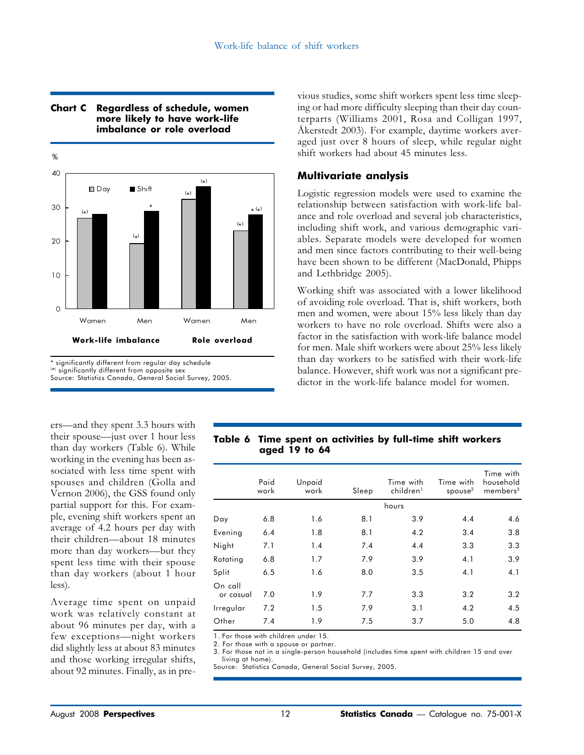

#### Chart C Regardless of schedule, women more likely to have work-life imbalance or role overload

\* significantly different from regular day schedule

( \*) significantly different from opposite sex

Source: Statistics Canada, General Social Survey, 2005.

ers—and they spent 3.3 hours with their spouse—just over 1 hour less than day workers (Table 6). While working in the evening has been associated with less time spent with spouses and children (Golla and Vernon 2006), the GSS found only partial support for this. For example, evening shift workers spent an average of 4.2 hours per day with their children—about 18 minutes more than day workers—but they spent less time with their spouse than day workers (about 1 hour less).

Average time spent on unpaid work was relatively constant at about 96 minutes per day, with a few exceptions—night workers did slightly less at about 83 minutes and those working irregular shifts, about 92 minutes. Finally, as in previous studies, some shift workers spent less time sleeping or had more difficulty sleeping than their day counterparts (Williams 2001, Rosa and Colligan 1997, Åkerstedt 2003). For example, daytime workers averaged just over 8 hours of sleep, while regular night shift workers had about 45 minutes less.

#### Multivariate analysis

Logistic regression models were used to examine the relationship between satisfaction with work-life balance and role overload and several job characteristics, including shift work, and various demographic variables. Separate models were developed for women and men since factors contributing to their well-being have been shown to be different (MacDonald, Phipps and Lethbridge 2005).

Working shift was associated with a lower likelihood of avoiding role overload. That is, shift workers, both men and women, were about 15% less likely than day workers to have no role overload. Shifts were also a factor in the satisfaction with work-life balance model for men. Male shift workers were about 25% less likely than day workers to be satisfied with their work-life balance. However, shift work was not a significant predictor in the work-life balance model for women.

#### Table 6 Time spent on activities by full-time shift workers aged 19 to 64

|                      | Paid<br>work | Unpaid<br>work | Sleep | Time with<br>children <sup>1</sup> | Time with<br>spouse $2$ | Time with<br>household<br>members <sup>3</sup> |
|----------------------|--------------|----------------|-------|------------------------------------|-------------------------|------------------------------------------------|
|                      |              |                |       | hours                              |                         |                                                |
| Day                  | 6.8          | 1.6            | 8.1   | 3.9                                | 4.4                     | 4.6                                            |
| Evening              | 6.4          | 1.8            | 8.1   | 4.2                                | 3.4                     | 3.8                                            |
| Night                | 7.1          | 1.4            | 7.4   | 4.4                                | 3.3                     | 3.3                                            |
| Rotating             | 6.8          | 1.7            | 7.9   | 3.9                                | 4.1                     | 3.9                                            |
| Split                | 6.5          | 1.6            | 8.0   | 3.5                                | 4.1                     | 4.1                                            |
| On call<br>or casual | 7.0          | 1.9            | 7.7   | 3.3                                | 3.2                     | 3.2                                            |
| Irregular            | 7.2          | 1.5            | 7.9   | 3.1                                | 4.2                     | 4.5                                            |
| Other                | 7.4          | 1.9            | 7.5   | 3.7                                | 5.0                     | 4.8                                            |

1. For those with children under 15.

2. For those with a spouse or partner.

3. For those not in a single-person household (includes time spent with children 15 and over living at home).

Source: Statistics Canada, General Social Survey, 2005.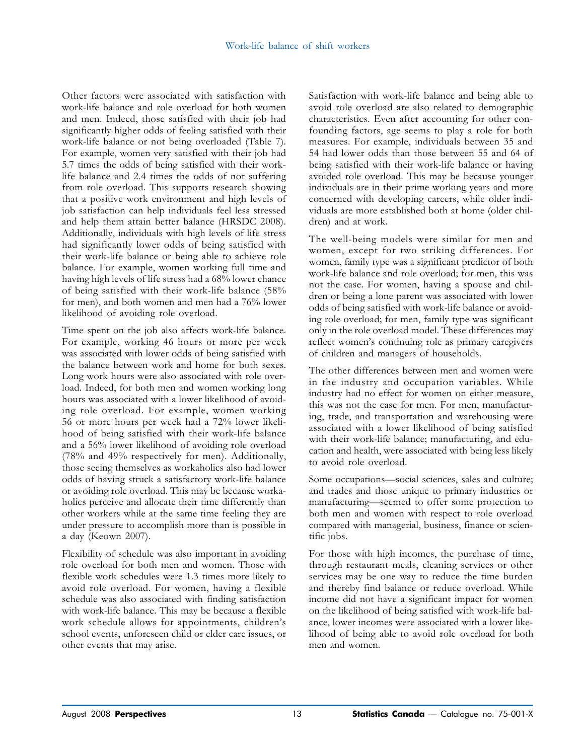Other factors were associated with satisfaction with work-life balance and role overload for both women and men. Indeed, those satisfied with their job had significantly higher odds of feeling satisfied with their work-life balance or not being overloaded (Table 7). For example, women very satisfied with their job had 5.7 times the odds of being satisfied with their worklife balance and 2.4 times the odds of not suffering from role overload. This supports research showing that a positive work environment and high levels of job satisfaction can help individuals feel less stressed and help them attain better balance (HRSDC 2008). Additionally, individuals with high levels of life stress had significantly lower odds of being satisfied with their work-life balance or being able to achieve role balance. For example, women working full time and having high levels of life stress had a 68% lower chance of being satisfied with their work-life balance (58% for men), and both women and men had a 76% lower likelihood of avoiding role overload.

Time spent on the job also affects work-life balance. For example, working 46 hours or more per week was associated with lower odds of being satisfied with the balance between work and home for both sexes. Long work hours were also associated with role overload. Indeed, for both men and women working long hours was associated with a lower likelihood of avoiding role overload. For example, women working 56 or more hours per week had a 72% lower likelihood of being satisfied with their work-life balance and a 56% lower likelihood of avoiding role overload (78% and 49% respectively for men). Additionally, those seeing themselves as workaholics also had lower odds of having struck a satisfactory work-life balance or avoiding role overload. This may be because workaholics perceive and allocate their time differently than other workers while at the same time feeling they are under pressure to accomplish more than is possible in a day (Keown 2007).

Flexibility of schedule was also important in avoiding role overload for both men and women. Those with flexible work schedules were 1.3 times more likely to avoid role overload. For women, having a flexible schedule was also associated with finding satisfaction with work-life balance. This may be because a flexible work schedule allows for appointments, children's school events, unforeseen child or elder care issues, or other events that may arise.

Satisfaction with work-life balance and being able to avoid role overload are also related to demographic characteristics. Even after accounting for other confounding factors, age seems to play a role for both measures. For example, individuals between 35 and 54 had lower odds than those between 55 and 64 of being satisfied with their work-life balance or having avoided role overload. This may be because younger individuals are in their prime working years and more concerned with developing careers, while older individuals are more established both at home (older children) and at work.

The well-being models were similar for men and women, except for two striking differences. For women, family type was a significant predictor of both work-life balance and role overload; for men, this was not the case. For women, having a spouse and children or being a lone parent was associated with lower odds of being satisfied with work-life balance or avoiding role overload; for men, family type was significant only in the role overload model. These differences may reflect women's continuing role as primary caregivers of children and managers of households.

The other differences between men and women were in the industry and occupation variables. While industry had no effect for women on either measure, this was not the case for men. For men, manufacturing, trade, and transportation and warehousing were associated with a lower likelihood of being satisfied with their work-life balance; manufacturing, and education and health, were associated with being less likely to avoid role overload.

Some occupations—social sciences, sales and culture; and trades and those unique to primary industries or manufacturing—seemed to offer some protection to both men and women with respect to role overload compared with managerial, business, finance or scientific jobs.

For those with high incomes, the purchase of time, through restaurant meals, cleaning services or other services may be one way to reduce the time burden and thereby find balance or reduce overload. While income did not have a significant impact for women on the likelihood of being satisfied with work-life balance, lower incomes were associated with a lower likelihood of being able to avoid role overload for both men and women.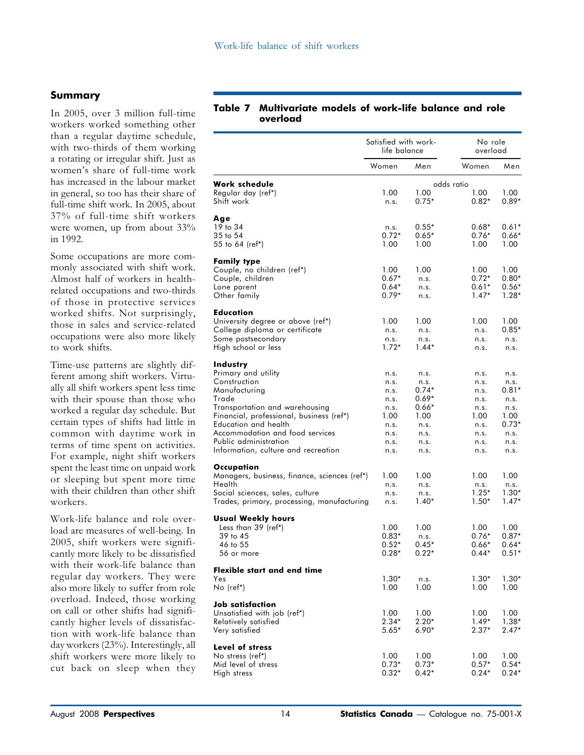#### Summary

In 2005, over 3 million full-time workers worked something other than a regular daytime schedule, with two-thirds of them working a rotating or irregular shift. Just as women's share of full-time work has increased in the labour market in general, so too has their share of full-time shift work. In 2005, about 37% of full-time shift workers were women, up from about 33% in 1992.

Some occupations are more commonly associated with shift work. Almost half of workers in healthrelated occupations and two-thirds of those in protective services worked shifts. Not surprisingly, those in sales and service-related occupations were also more likely to work shifts.

Time-use patterns are slightly different among shift workers. Virtually all shift workers spent less time with their spouse than those who worked a regular day schedule. But certain types of shifts had little in common with daytime work in terms of time spent on activities. For example, night shift workers spent the least time on unpaid work or sleeping but spent more time with their children than other shift workers.

Work-life balance and role overload are measures of well-being. In 2005, shift workers were significantly more likely to be dissatisfied with their work-life balance than regular day workers. They were also more likely to suffer from role overload. Indeed, those working on call or other shifts had significantly higher levels of dissatisfaction with work-life balance than day workers (23%). Interestingly, all shift workers were more likely to cut back on sleep when they

#### Table 7 Multivariate models of work-life balance and role overload

|                                                                                                                                                                                                                                                                                    | Satisfied with work-<br>life balance                                         |                                                                                     | No role<br>overload                                                          |                                                                                    |
|------------------------------------------------------------------------------------------------------------------------------------------------------------------------------------------------------------------------------------------------------------------------------------|------------------------------------------------------------------------------|-------------------------------------------------------------------------------------|------------------------------------------------------------------------------|------------------------------------------------------------------------------------|
|                                                                                                                                                                                                                                                                                    | Women                                                                        | Men                                                                                 | Women                                                                        | Men                                                                                |
| Work schedule<br>Regular day (ref*)<br>Shift work                                                                                                                                                                                                                                  | 1.00<br>n.s.                                                                 | 1.00<br>$0.75*$                                                                     | odds ratio<br>1.00<br>$0.82*$                                                | 1.00<br>$0.89*$                                                                    |
| Age<br>19 to 34<br>$35$ to $54$<br>55 to 64 (ref*)                                                                                                                                                                                                                                 | n.s.<br>$0.72*$<br>1.00                                                      | $0.55*$<br>$0.65*$<br>1.00                                                          | $0.68*$<br>$0.76*$<br>1.00                                                   | $0.61*$<br>$0.66*$<br>1.00                                                         |
| <b>Family type</b><br>Couple, no children (ref*)<br>Couple, children<br>Lone parent<br>Other family                                                                                                                                                                                | 1.00<br>$0.67*$<br>$0.64*$<br>$0.79*$                                        | 1.00<br>n.s.<br>n.s.<br>n.s.                                                        | 1.00<br>$0.72*$<br>$0.61*$<br>$1.47*$                                        | 1.00<br>$0.80*$<br>$0.56*$<br>$1.28*$                                              |
| <b>Education</b><br>University degree or above (ref*)<br>College diploma or certificate<br>Some postsecondary<br>High school or less                                                                                                                                               | 1.00<br>n.s.<br>n.s.<br>$1.72*$                                              | 1.00<br>n.s.<br>n.s.<br>$1.44*$                                                     | 1.00<br>n.s.<br>n.s.<br>n.s.                                                 | 1.00<br>$0.85*$<br>n.s.<br>n.s.                                                    |
| Industry<br>Primary and utility<br>Construction<br>Manufacturing<br>Trade<br>Transportation and warehousing<br>Financial, professional, business (ref*)<br>Education and health<br>Accommodation and food services<br>Public administration<br>Information, culture and recreation | n.s.<br>n.s.<br>n.s.<br>n.s.<br>n.s.<br>1.00<br>n.s.<br>n.s.<br>n.s.<br>n.s. | n.s.<br>n.s.<br>0.74*<br>$0.69*$<br>$0.66*$<br>1.00<br>n.s.<br>n.s.<br>n.s.<br>n.s. | n.s.<br>n.s.<br>n.s.<br>n.s.<br>n.s.<br>1.00<br>n.s.<br>n.s.<br>n.s.<br>n.s. | n.s.<br>n.s.<br>$0.81*$<br>n.s.<br>n.s.<br>1.00<br>$0.73*$<br>n.s.<br>n.s.<br>n.s. |
| Occupation<br>Managers, business, finance, sciences (ref*)<br>Health<br>Social sciences, sales, culture<br>Trades, primary, processing, manufacturing                                                                                                                              | 1.00<br>n.s.<br>n.s.<br>n.s.                                                 | 1.00<br>n.s.<br>n.s.<br>$1.40*$                                                     | 1.00<br>n.s.<br>$1.25*$<br>$1.50*$                                           | 1.00<br>n.s.<br>$1.30*$<br>$1.47*$                                                 |
| Usual Weekly hours<br>Less than 39 (ref*)<br>39 to 45<br>46 to 55<br>56 or more                                                                                                                                                                                                    | 1.00<br>$0.83*$<br>$0.52*$<br>$0.28*$                                        | 1.00<br>n.s.<br>$0.45*$<br>$0.22*$                                                  | 1.00<br>$0.76*$<br>$0.66*$<br>$0.44*$                                        | 1.00<br>$0.87*$<br>$0.64*$<br>$0.51*$                                              |
| Flexible start and end time<br>Yes<br>No (ref*)                                                                                                                                                                                                                                    | $1.30*$<br>1.00                                                              | n.s.<br>1.00                                                                        | $1.30*$<br>1.00                                                              | $1.30*$<br>1.00                                                                    |
| Job satisfaction<br>Unsatisfied with job (ref*)<br>Relatively satisfied<br>Very satisfied                                                                                                                                                                                          | 1.00<br>$2.34*$<br>$5.65*$                                                   | 1.00<br>$2.20*$<br>$6.90*$                                                          | 1.00<br>$1.49*$<br>$2.37*$                                                   | 1.00<br>$1.38*$<br>$2.47*$                                                         |
| Level of stress<br>No stress (ref*)<br>Mid level of stress<br>High stress                                                                                                                                                                                                          | 1.00<br>$0.73*$<br>$0.32*$                                                   | 1.00<br>$0.73*$<br>$0.42*$                                                          | 1.00<br>$0.57*$<br>$0.24*$                                                   | 1.00<br>$0.54*$<br>$0.24*$                                                         |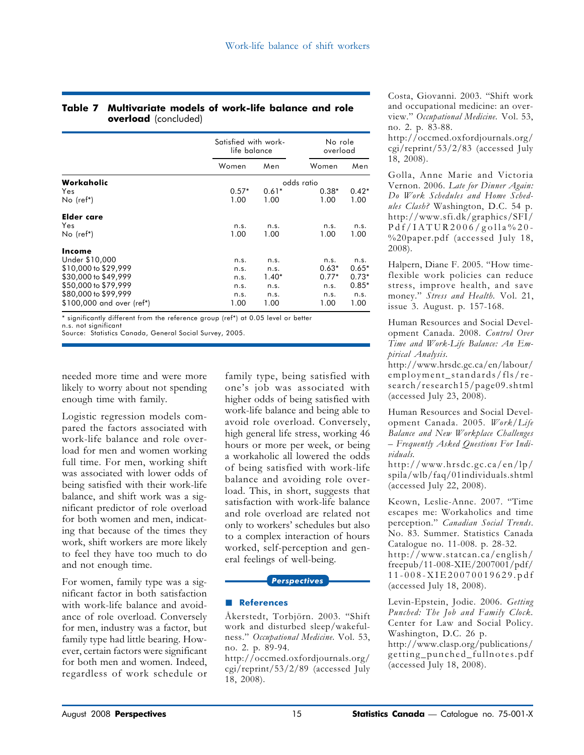#### Table 7 Multivariate models of work-life balance and role overload (concluded)

|                           |         | Satisfied with work-<br>life balance |            | No role<br>overload |
|---------------------------|---------|--------------------------------------|------------|---------------------|
|                           | Women   | Men                                  | Women      | Men                 |
| Workaholic                |         |                                      | odds ratio |                     |
| Yes                       | $0.57*$ | $0.61*$                              | $0.38*$    | $0.42*$             |
| $No$ (ref*)               | 1.00    | 1.00                                 | 1.00       | 1.00                |
| Elder care                |         |                                      |            |                     |
| Yes                       | n.s.    | n.s.                                 | n.s.       | n.s.                |
| $No$ (ref*)               | 1.00    | 1.00                                 | 1.00       | 1.00                |
| Income                    |         |                                      |            |                     |
| Under \$10,000            | n.s.    | n.s.                                 | n.s.       | n.s.                |
| \$10,000 to \$29,999      | n.s.    | n.s.                                 | $0.63*$    | $0.65*$             |
| \$30,000 to \$49,999      | n.s.    | $1.40*$                              | $0.77*$    | $0.73*$             |
| \$50,000 to \$79,999      | n.s.    | n.s.                                 | n.s.       | $0.85*$             |
| \$80,000 to \$99,999      | n.s.    | n.s.                                 | n.s.       | n.s.                |
| \$100,000 and over (ref*) | 1.00    | 1.00                                 | 1.00       | 1.00                |

\* significantly different from the reference group (ref\*) at 0.05 level or better

n.s. not significant Source: Statistics Canada, General Social Survey, 2005.

needed more time and were more likely to worry about not spending enough time with family.

Logistic regression models compared the factors associated with work-life balance and role overload for men and women working full time. For men, working shift was associated with lower odds of being satisfied with their work-life balance, and shift work was a significant predictor of role overload for both women and men, indicating that because of the times they work, shift workers are more likely to feel they have too much to do and not enough time.

For women, family type was a significant factor in both satisfaction with work-life balance and avoidance of role overload. Conversely for men, industry was a factor, but family type had little bearing. However, certain factors were significant for both men and women. Indeed, regardless of work schedule or

family type, being satisfied with one's job was associated with higher odds of being satisfied with work-life balance and being able to avoid role overload. Conversely, high general life stress, working 46 hours or more per week, or being a workaholic all lowered the odds of being satisfied with work-life balance and avoiding role overload. This, in short, suggests that satisfaction with work-life balance and role overload are related not only to workers' schedules but also to a complex interaction of hours worked, self-perception and general feelings of well-being.

#### **Perspectives**

### **References**

Åkerstedt, Torbjörn. 2003. "Shift work and disturbed sleep/wakefulness." Occupational Medicine. Vol. 53, no. 2. p. 89-94.

http://occmed.oxfordjournals.org/ cgi/reprint/53/2/89 (accessed July 18, 2008).

Costa, Giovanni. 2003. "Shift work and occupational medicine: an overview." Occupational Medicine. Vol. 53, no. 2. p. 83-88.

http://occmed.oxfordjournals.org/ cgi/reprint/53/2/83 (accessed July 18, 2008).

Golla, Anne Marie and Victoria Vernon. 2006. Late for Dinner Again: Do Work Schedules and Home Schedules Clash? Washington, D.C. 54 p. http://www.sfi.dk/graphics/SFI/ Pdf/IATUR2006/golla%20- %20paper.pdf (accessed July 18, 2008).

Halpern, Diane F. 2005. "How timeflexible work policies can reduce stress, improve health, and save money." Stress and Health. Vol. 21, issue 3. August. p. 157-168.

Human Resources and Social Development Canada. 2008. Control Over Time and Work-Life Balance: An Empirical Analysis.

http://www.hrsdc.gc.ca/en/labour/ employment\_standards/fls/research/research15/page09.shtml (accessed July 23, 2008).

Human Resources and Social Development Canada. 2005. Work/Life Balance and New Workplace Challenges – Frequently Asked Questions For Individuals.

http://www.hrsdc.gc.ca/en/lp/ spila/wlb/faq/01individuals.shtml (accessed July 22, 2008).

Keown, Leslie-Anne. 2007. "Time escapes me: Workaholics and time perception." Canadian Social Trends. No. 83. Summer. Statistics Canada Catalogue no. 11-008. p. 28-32. http://www.statcan.ca/english/ freepub/11-008-XIE/2007001/pdf/ 11-008-XIE20070019629.pdf (accessed July 18, 2008).

Levin-Epstein, Jodie. 2006. Getting Punched: The Job and Family Clock. Center for Law and Social Policy. Washington, D.C. 26 p. http://www.clasp.org/publications/ getting\_punched\_fullnotes.pdf (accessed July 18, 2008).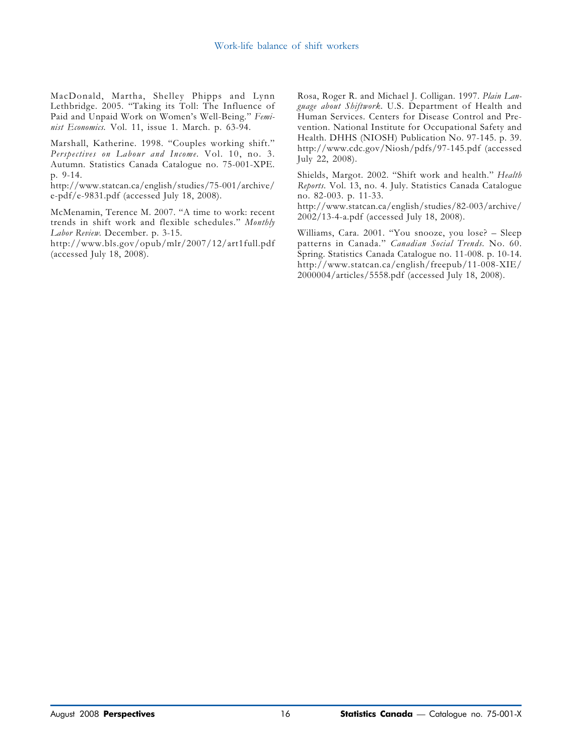MacDonald, Martha, Shelley Phipps and Lynn Lethbridge. 2005. "Taking its Toll: The Influence of Paid and Unpaid Work on Women's Well-Being." Feminist Economics. Vol. 11, issue 1. March. p. 63-94.

Marshall, Katherine. 1998. "Couples working shift." Perspectives on Labour and Income. Vol. 10, no. 3. Autumn. Statistics Canada Catalogue no. 75-001-XPE. p. 9-14.

http://www.statcan.ca/english/studies/75-001/archive/ e-pdf/e-9831.pdf (accessed July 18, 2008).

McMenamin, Terence M. 2007. "A time to work: recent trends in shift work and flexible schedules." Monthly Labor Review. December. p. 3-15.

http://www.bls.gov/opub/mlr/2007/12/art1full.pdf (accessed July 18, 2008).

Rosa, Roger R. and Michael J. Colligan. 1997. Plain Language about Shiftwork. U.S. Department of Health and Human Services. Centers for Disease Control and Prevention. National Institute for Occupational Safety and Health. DHHS (NIOSH) Publication No. 97-145. p. 39. http://www.cdc.gov/Niosh/pdfs/97-145.pdf (accessed July 22, 2008).

Shields, Margot. 2002. "Shift work and health." Health Reports. Vol. 13, no. 4. July. Statistics Canada Catalogue no. 82-003. p. 11-33.

http://www.statcan.ca/english/studies/82-003/archive/ 2002/13-4-a.pdf (accessed July 18, 2008).

Williams, Cara. 2001. "You snooze, you lose? – Sleep patterns in Canada." Canadian Social Trends. No. 60. Spring. Statistics Canada Catalogue no. 11-008. p. 10-14. http://www.statcan.ca/english/freepub/11-008-XIE/ 2000004/articles/5558.pdf (accessed July 18, 2008).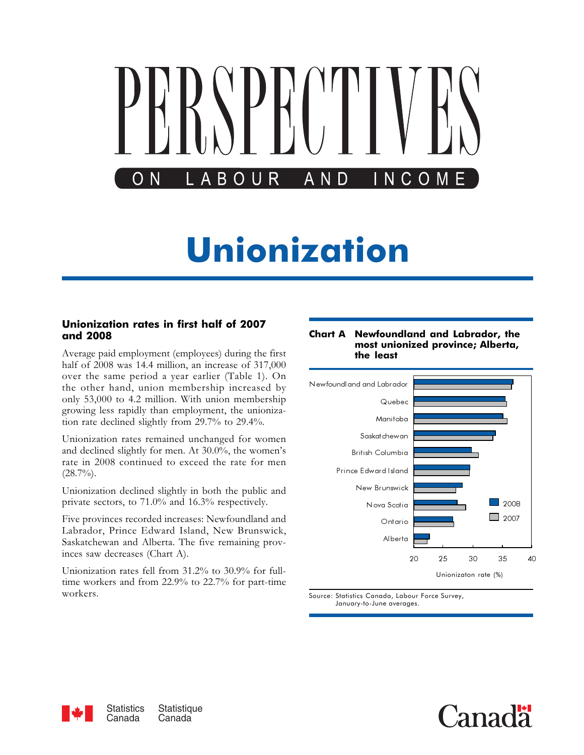<span id="page-16-0"></span>

#### Unionization rates in first half of 2007 and 2008

Average paid employment (employees) during the first half of 2008 was 14.4 million, an increase of 317,000 over the same period a year earlier (Table 1). On the other hand, union membership increased by only 53,000 to 4.2 million. With union membership growing less rapidly than employment, the unionization rate declined slightly from 29.7% to 29.4%.

Unionization rates remained unchanged for women and declined slightly for men. At 30.0%, the women's rate in 2008 continued to exceed the rate for men  $(28.7\%)$ .

Unionization declined slightly in both the public and private sectors, to 71.0% and 16.3% respectively.

Five provinces recorded increases: Newfoundland and Labrador, Prince Edward Island, New Brunswick, Saskatchewan and Alberta. The five remaining provinces saw decreases (Chart A).

Unionization rates fell from 31.2% to 30.9% for fulltime workers and from 22.9% to 22.7% for part-time workers.

#### Chart A Newfoundland and Labrador, the most unionized province; Alberta, the least



Source: Statistics Canada, Labour Force Survey, January-to-June averages.



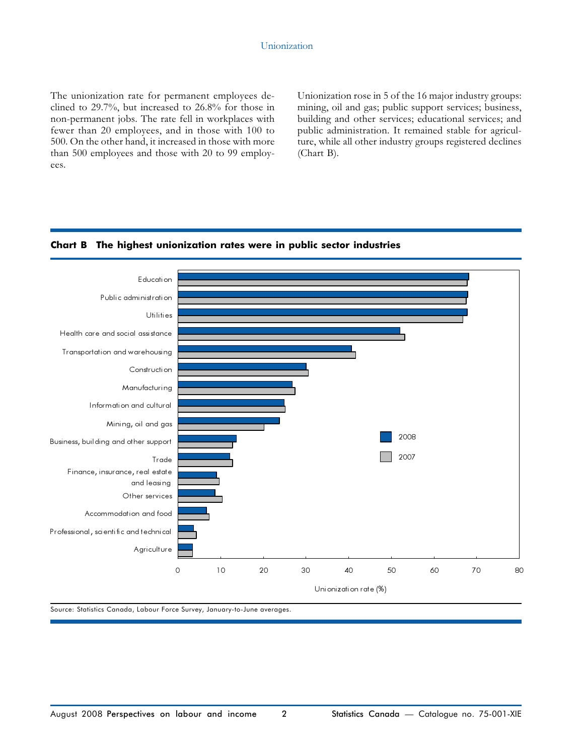The unionization rate for permanent employees declined to 29.7%, but increased to 26.8% for those in non-permanent jobs. The rate fell in workplaces with fewer than 20 employees, and in those with 100 to 500. On the other hand, it increased in those with more than 500 employees and those with 20 to 99 employees.

Unionization rose in 5 of the 16 major industry groups: mining, oil and gas; public support services; business, building and other services; educational services; and public administration. It remained stable for agriculture, while all other industry groups registered declines (Chart B).





Source: Statistics Canada, Labour Force Survey, January-to-June averages.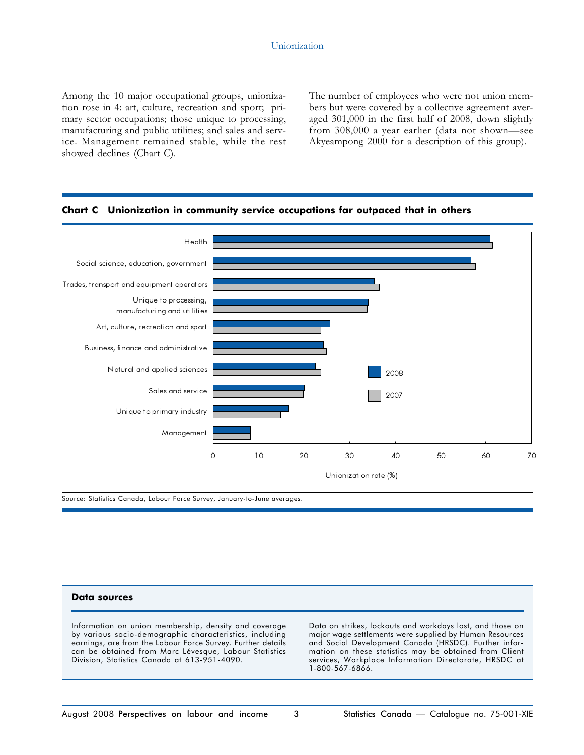Among the 10 major occupational groups, unionization rose in 4: art, culture, recreation and sport; primary sector occupations; those unique to processing, manufacturing and public utilities; and sales and service. Management remained stable, while the rest showed declines (Chart C).

The number of employees who were not union members but were covered by a collective agreement averaged 301,000 in the first half of 2008, down slightly from 308,000 a year earlier (data not shown—see Akyeampong 2000 for a description of this group).



#### Chart C Unionization in community service occupations far outpaced that in others

Source: Statistics Canada, Labour Force Survey, January-to-June averages.

#### Data sources

Information on union membership, density and coverage by various socio-demographic characteristics, including earnings, are from the Labour Force Survey. Further details can be obtained from Marc Lévesque, Labour Statistics Division, Statistics Canada at 613-951-4090.

Data on strikes, lockouts and workdays lost, and those on major wage settlements were supplied by Human Resources and Social Development Canada (HRSDC). Further information on these statistics may be obtained from Client services, Workplace Information Directorate, HRSDC at 1-800-567-6866.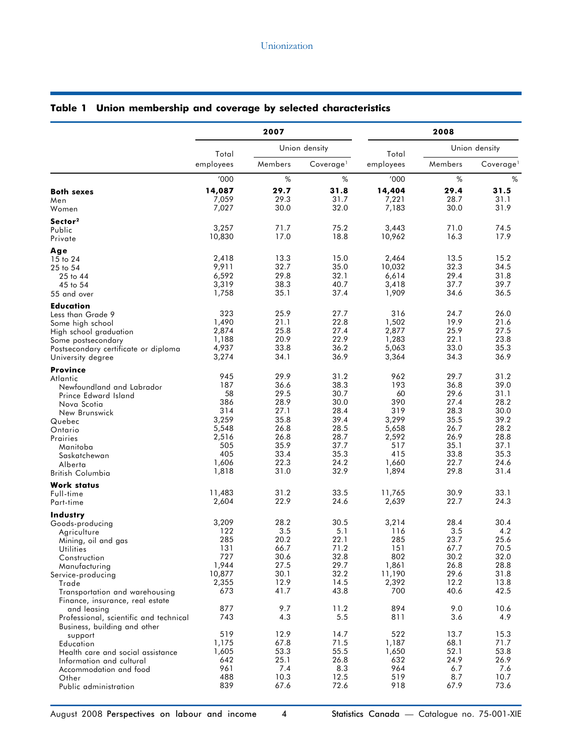|                                                                        | 2007            |                                  |               | 2008               |               |                       |
|------------------------------------------------------------------------|-----------------|----------------------------------|---------------|--------------------|---------------|-----------------------|
|                                                                        | Total           |                                  | Union density |                    | Union density |                       |
|                                                                        | employees       | Members<br>Coverage <sup>1</sup> |               | Total<br>employees | Members       | Coverage <sup>1</sup> |
|                                                                        | '000            | %                                | %             | '000               | %             | %                     |
| <b>Both sexes</b>                                                      | 14,087          | 29.7                             | 31.8          | 14,404             | 29.4          | 31.5<br>31.1          |
| Men<br>Women                                                           | 7,059<br>7,027  | 29.3<br>30.0                     | 31.7<br>32.0  | 7,221<br>7,183     | 28.7<br>30.0  | 31.9                  |
| Sector <sup>2</sup>                                                    |                 |                                  |               |                    |               |                       |
| Public<br>Private                                                      | 3,257<br>10,830 | 71.7<br>17.0                     | 75.2<br>18.8  | 3,443<br>10,962    | 71.0<br>16.3  | 74.5<br>17.9          |
|                                                                        |                 |                                  |               |                    |               |                       |
| Age<br>15 to 24                                                        | 2,418           | 13.3                             | 15.0          | 2,464              | 13.5          | 15.2                  |
| 25 to 54                                                               | 9,911           | 32.7                             | 35.0<br>32.1  | 10,032             | 32.3<br>29.4  | 34.5<br>31.8          |
| 25 to 44<br>45 to 54                                                   | 6,592<br>3,319  | 29.8<br>38.3                     | 40.7          | 6,614<br>3,418     | 37.7          | 39.7                  |
| 55 and over                                                            | 1,758           | 35.1                             | 37.4          | 1,909              | 34.6          | 36.5                  |
| <b>Education</b>                                                       |                 |                                  |               |                    |               |                       |
| Less than Grade 9<br>Some high school                                  | 323<br>1,490    | 25.9<br>21.1                     | 27.7<br>22.8  | 316<br>1,502       | 24.7<br>19.9  | 26.0<br>21.6          |
| High school graduation                                                 | 2,874           | 25.8                             | 27.4          | 2,877              | 25.9          | 27.5                  |
| Some postsecondary                                                     | 1,188           | 20.9                             | 22.9          | 1,283              | 22.1          | 23.8                  |
| Postsecondary certificate or diploma                                   | 4,937<br>3,274  | 33.8<br>34.1                     | 36.2<br>36.9  | 5,063<br>3,364     | 33.0<br>34.3  | 35.3<br>36.9          |
| University degree<br><b>Province</b>                                   |                 |                                  |               |                    |               |                       |
| Atlantic                                                               | 945             | 29.9                             | 31.2          | 962                | 29.7          | 31.2                  |
| Newfoundland and Labrador                                              | 187             | 36.6                             | 38.3          | 193                | 36.8          | 39.0                  |
| Prince Edward Island                                                   | 58<br>386       | 29.5<br>28.9                     | 30.7<br>30.0  | 60<br>390          | 29.6<br>27.4  | 31.1<br>28.2          |
| Nova Scotia<br>New Brunswick                                           | 314             | 27.1                             | 28.4          | 319                | 28.3          | 30.0                  |
| Quebec                                                                 | 3,259           | 35.8                             | 39.4          | 3,299              | 35.5          | 39.2                  |
| Ontario                                                                | 5,548<br>2,516  | 26.8<br>26.8                     | 28.5<br>28.7  | 5,658<br>2,592     | 26.7<br>26.9  | 28.2<br>28.8          |
| Prairies<br>Manitoba                                                   | 505             | 35.9                             | 37.7          | 517                | 35.1          | 37.1                  |
| Saskatchewan                                                           | 405             | 33.4                             | 35.3          | 415                | 33.8          | 35.3                  |
| Alberta                                                                | 1,606<br>1,818  | 22.3<br>31.0                     | 24.2<br>32.9  | 1,660<br>1,894     | 22.7<br>29.8  | 24.6<br>31.4          |
| British Columbia<br><b>Work status</b>                                 |                 |                                  |               |                    |               |                       |
| Full-time                                                              | 11,483          | 31.2                             | 33.5          | 11,765             | 30.9          | 33.1                  |
| Part-time                                                              | 2,604           | 22.9                             | 24.6          | 2,639              | 22.7          | 24.3                  |
| Industry                                                               | 3,209           | 28.2                             | 30.5          | 3,214              | 28.4          | 30.4                  |
| Goods-producing<br>Agriculture                                         | 122             | 3.5                              | 5.1           | 116                | 3.5           | 4.2                   |
| Mining, oil and gas                                                    | 285             | 20.2                             | 22.1          | 285                | 23.7          | 25.6                  |
| <b>Utilities</b>                                                       | 131<br>727      | 66.7<br>30.6                     | 71.2<br>32.8  | 151<br>802         | 67.7<br>30.2  | 70.5<br>32.0          |
| Construction<br>Manufacturing                                          | 1,944           | 27.5                             | 29.7          | 1,861              | 26.8          | 28.8                  |
| Service-producing                                                      | 10,877          | 30.1                             | 32.2          | 11,190             | 29.6          | 31.8                  |
| Trade                                                                  | 2,355<br>673    | 12.9<br>41.7                     | 14.5<br>43.8  | 2,392<br>700       | 12.2<br>40.6  | 13.8<br>42.5          |
| Transportation and warehousing<br>Finance, insurance, real estate      |                 |                                  |               |                    |               |                       |
| and leasing                                                            | 877             | 9.7                              | 11.2          | 894                | 9.0           | 10.6                  |
| Professional, scientific and technical<br>Business, building and other | 743             | 4.3                              | 5.5           | 811                | 3.6           | 4.9                   |
| support                                                                | 519             | 12.9                             | 14.7          | 522                | 13.7          | 15.3                  |
| Education                                                              | 1,175           | 67.8                             | 71.5          | 1,187              | 68.1          | 71.7                  |
| Health care and social assistance<br>Information and cultural          | 1,605<br>642    | 53.3<br>25.1                     | 55.5<br>26.8  | 1,650<br>632       | 52.1<br>24.9  | 53.8<br>26.9          |
| Accommodation and food                                                 | 961             | 7.4                              | 8.3           | 964                | 6.7           | 7.6                   |
| Other                                                                  | 488             | 10.3                             | 12.5          | 519                | 8.7           | 10.7                  |
| Public administration                                                  | 839             | 67.6                             | 72.6          | 918                | 67.9          | 73.6                  |

# Table 1 Union membership and coverage by selected characteristics

August 2008 Perspectives on labour and income 4 Statistics Canada - Catalogue no. 75-001-XIE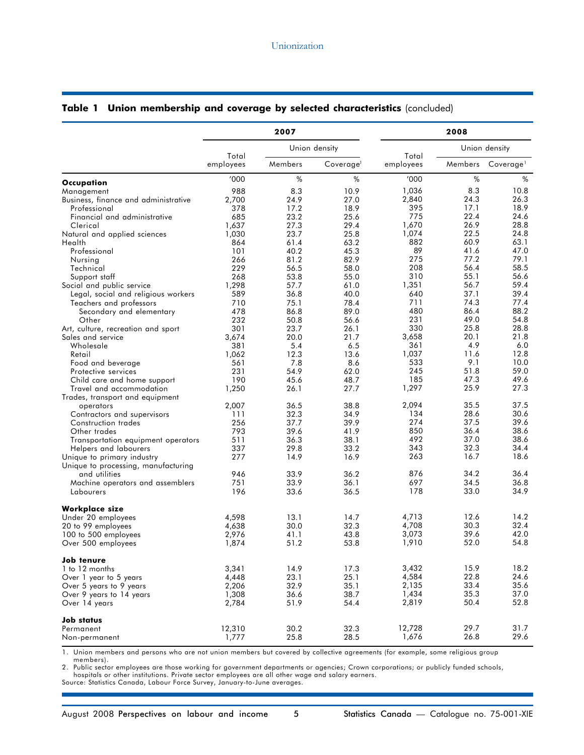|                                           | 2007           |              |               | 2008               |               |                       |
|-------------------------------------------|----------------|--------------|---------------|--------------------|---------------|-----------------------|
|                                           | Total          |              | Union density |                    | Union density |                       |
|                                           | employees      | Members      | Coverage      | Total<br>employees | Members       | Coverage <sup>1</sup> |
| Occupation                                | '000           | $\%$         | %             | '000               | $\%$          | %                     |
| Management                                | 988            | 8.3          | 10.9          | 1,036              | 8.3           | 10.8                  |
| Business, finance and administrative      | 2,700          | 24.9         | 27.0          | 2,840              | 24.3          | 26.3                  |
| Professional                              | 378            | 17.2         | 18.9          | 395                | 17.1          | 18.9                  |
| Financial and administrative              | 685            | 23.2         | 25.6          | 775                | 22.4          | 24.6                  |
| Clerical                                  | 1,637          | 27.3         | 29.4          | 1,670              | 26.9          | 28.8                  |
| Natural and applied sciences              | 1,030          | 23.7         | 25.8          | 1,074              | 22.5          | 24.8                  |
| Health                                    | 864            | 61.4         | 63.2          | 882                | 60.9          | 63.1                  |
| Professional                              | 101            | 40.2         | 45.3          | 89                 | 41.6          | 47.0                  |
| Nursing                                   | 266            | 81.2         | 82.9          | 275                | 77.2          | 79.1                  |
| Technical                                 | 229            | 56.5         | 58.0          | 208                | 56.4          | 58.5                  |
| Support staff                             | 268            | 53.8         | 55.0          | 310                | 55.1          | 56.6                  |
| Social and public service                 | 1,298          | 57.7         | 61.0          | 1,351              | 56.7          | 59.4                  |
| Legal, social and religious workers       | 589            | 36.8         | 40.0          | 640                | 37.1          | 39.4                  |
| Teachers and professors                   | 710            | 75.1         | 78.4          | 711                | 74.3          | 77.4                  |
| Secondary and elementary                  | 478            | 86.8         | 89.0          | 480                | 86.4          | 88.2                  |
| Other                                     | 232            | 50.8         | 56.6          | 231                | 49.0          | 54.8                  |
| Art, culture, recreation and sport        | 301            | 23.7         | 26.1          | 330                | 25.8          | 28.8                  |
| Sales and service                         | 3,674          | 20.0         | 21.7          | 3,658              | 20.1          | 21.8                  |
| Wholesale                                 | 381            | 5.4          | 6.5           | 361                | 4.9           | 6.0                   |
| Retail                                    | 1,062          | 12.3         | 13.6          | 1,037              | 11.6          | 12.8                  |
| Food and beverage                         | 561            | 7.8          | 8.6           | 533                | 9.1           | 10.0                  |
| Protective services                       | 231            | 54.9         | 62.0          | 245                | 51.8          | 59.0                  |
| Child care and home support               | 190            | 45.6         | 48.7          | 185                | 47.3          | 49.6                  |
| Travel and accommodation                  | 1,250          | 26.1         | 27.7          | 1,297              | 25.9          | 27.3                  |
| Trades, transport and equipment           |                |              |               |                    |               |                       |
| operators                                 | 2,007          | 36.5         | 38.8          | 2,094              | 35.5          | 37.5                  |
| Contractors and supervisors               | 111            | 32.3         | 34.9          | 134                | 28.6          | 30.6                  |
| Construction trades                       | 256            | 37.7         | 39.9          | 274                | 37.5          | 39.6                  |
| Other trades                              | 793            | 39.6         | 41.9          | 850                | 36.4          | 38.6                  |
| Transportation equipment operators        | 511            | 36.3         | 38.1          | 492                | 37.0          | 38.6                  |
| Helpers and labourers                     | 337            | 29.8         | 33.2          | 343                | 32.3          | 34.4                  |
| Unique to primary industry                | 277            | 14.9         | 16.9          | 263                | 16.7          | 18.6                  |
| Unique to processing, manufacturing       |                |              |               |                    |               |                       |
| and utilities                             | 946            | 33.9         | 36.2          | 876                | 34.2          | 36.4                  |
| Machine operators and assemblers          | 751            | 33.9         | 36.1          | 697                | 34.5          | 36.8                  |
| Labourers                                 | 196            | 33.6         | 36.5          | 178                | 33.0          | 34.9                  |
| <b>Workplace size</b>                     |                |              |               |                    |               |                       |
| Under 20 employees                        | 4,598          | 13.1         | 14.7          | 4,713              | 12.6          | 14.2                  |
| 20 to 99 employees                        | 4,638          | 30.0         | 32.3          | 4,708              | 30.3          | 32.4                  |
| 100 to 500 employees                      | 2,976          | 41.1         | 43.8          | 3,073              | 39.6          | 42.0                  |
| Over 500 employees                        | 1,874          | 51.2         | 53.8          | 1,910              | 52.0          | 54.8                  |
| Job tenure                                |                |              |               |                    |               |                       |
| 1 to 12 months                            | 3,341          | 14.9         | 17.3          | 3,432              | 15.9<br>22.8  | 18.2<br>24.6          |
| Over 1 year to 5 years                    | 4,448          | 23.1         | 25.1          | 4,584<br>2,135     | 33.4          | 35.6                  |
| Over 5 years to 9 years                   | 2,206          | 32.9         | 35.1          |                    | 35.3          | 37.0                  |
| Over 9 years to 14 years<br>Over 14 years | 1,308<br>2,784 | 36.6<br>51.9 | 38.7<br>54.4  | 1,434<br>2,819     | 50.4          | 52.8                  |
| Job status                                |                |              |               |                    |               |                       |
| Permanent                                 | 12,310         | 30.2         | 32.3          | 12,728             | 29.7          | 31.7                  |
| Non-permanent                             | 1,777          | 25.8         | 28.5          | 1,676              | 26.8          | 29.6                  |

#### Table 1 Union membership and coverage by selected characteristics (concluded)

1. Union members and persons who are not union members but covered by collective agreements (for example, some religious group members).

2. Public sector employees are those working for government departments or agencies; Crown corporations; or publicly funded schools,

hospitals or other institutions. Private sector employees are all other wage and salary earners. Source: Statistics Canada, Labour Force Survey, January-to-June averages.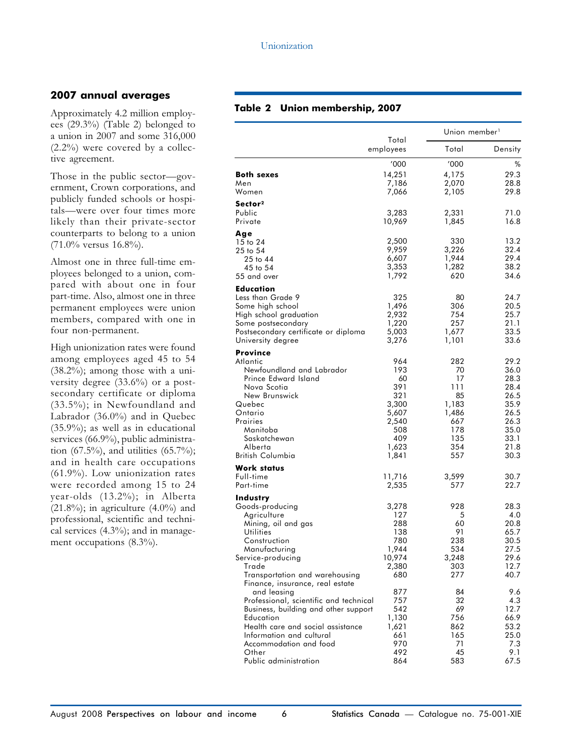# 2007 annual averages

Approximately 4.2 million employees (29.3%) (Table 2) belonged to a union in 2007 and some 316,000 (2.2%) were covered by a collective agreement.

Those in the public sector—government, Crown corporations, and publicly funded schools or hospitals—were over four times more likely than their private-sector counterparts to belong to a union  $(71.0\%$  versus  $16.8\%$ ).

Almost one in three full-time employees belonged to a union, compared with about one in four part-time. Also, almost one in three permanent employees were union members, compared with one in four non-permanent.

High unionization rates were found among employees aged 45 to 54 (38.2%); among those with a university degree (33.6%) or a postsecondary certificate or diploma (33.5%); in Newfoundland and Labrador (36.0%) and in Quebec (35.9%); as well as in educational services (66.9%), public administration (67.5%), and utilities (65.7%); and in health care occupations (61.9%). Low unionization rates were recorded among 15 to 24 year-olds (13.2%); in Alberta  $(21.8\%)$ ; in agriculture  $(4.0\%)$  and professional, scientific and technical services  $(4.3\%)$ ; and in management occupations (8.3%).

### Table 2 Union membership, 2007

|                                                                                | Total          | Union member <sup>1</sup> |              |  |
|--------------------------------------------------------------------------------|----------------|---------------------------|--------------|--|
|                                                                                | employees      | Total                     | Density      |  |
|                                                                                | '000           | '000                      | %            |  |
| <b>Both sexes</b>                                                              | 14,251         | 4,175                     | 29.3         |  |
| Men                                                                            | 7,186          | 2,070                     | 28.8         |  |
| Women                                                                          | 7,066          | 2,105                     | 29.8         |  |
| Sector <sup>2</sup>                                                            |                |                           |              |  |
| Public                                                                         | 3,283          | 2,331                     | 71.0         |  |
| Private                                                                        | 10,969         | 1,845                     | 16.8         |  |
| Age<br>15 to 24                                                                | 2,500          | 330                       | 13.2         |  |
| 25 to 54                                                                       | 9,959          | 3,226                     | 32.4         |  |
| 25 to 44                                                                       | 6,607          | 1,944                     | 29.4         |  |
| 45 to 54                                                                       | 3,353          | 1,282                     | 38.2         |  |
| 55 and over                                                                    | 1,792          | 620                       | 34.6         |  |
| Education                                                                      |                |                           |              |  |
| Less than Grade 9                                                              | 325            | 80                        | 24.7         |  |
| Some high school                                                               | 1,496          | 306                       | 20.5         |  |
| High school graduation<br>Some postsecondary                                   | 2,932<br>1,220 | 754<br>257                | 25.7<br>21.1 |  |
| Postsecondary certificate or diploma                                           | 5,003          | 1,677                     | 33.5         |  |
| University degree                                                              | 3,276          | 1,101                     | 33.6         |  |
| <b>Province</b>                                                                |                |                           |              |  |
| Atlantic                                                                       | 964            | 282                       | 29.2         |  |
| Newfoundland and Labrador                                                      | 193            | 70                        | 36.0         |  |
| Prince Edward Island                                                           | 60             | 17                        | 28.3         |  |
| Nova Scotia<br>New Brunswick                                                   | 391<br>321     | 111<br>85                 | 28.4<br>26.5 |  |
| Quebec                                                                         | 3,300          | 1,183                     | 35.9         |  |
| Ontario                                                                        | 5,607          | 1,486                     | 26.5         |  |
| Prairies                                                                       | 2,540          | 667                       | 26.3         |  |
| Manitoba                                                                       | 508            | 178                       | 35.0         |  |
| Saskatchewan                                                                   | 409            | 135                       | 33.1         |  |
| Alberta<br>British Columbia                                                    | 1,623<br>1,841 | 354<br>557                | 21.8<br>30.3 |  |
|                                                                                |                |                           |              |  |
| <b>Work status</b><br>Full-time                                                | 11,716         | 3,599                     | 30.7         |  |
| Part-time                                                                      | 2,535          | 577                       | 22.7         |  |
| <b>Industry</b>                                                                |                |                           |              |  |
| Goods-producing                                                                | 3,278          | 928                       | 28.3         |  |
| Agriculture                                                                    | 127            | 5                         | 4.0          |  |
| Mining, oil and gas                                                            | 288            | 60                        | 20.8         |  |
| Utilities                                                                      | 138            | 91                        | 65.7         |  |
| Construction<br>Manufacturing                                                  | 780<br>1,944   | 238<br>534                | 30.5<br>27.5 |  |
| Service-producing                                                              | 10,974         | 3,248                     | 29.6         |  |
| Trade                                                                          | 2,380          | 303                       | 12.7         |  |
| Transportation and warehousing                                                 | 680            | 277                       | 40.7         |  |
| Finance, insurance, real estate                                                |                |                           |              |  |
| and leasing                                                                    | 877            | 84                        | 9.6          |  |
| Professional, scientific and technical<br>Business, building and other support | 757<br>542     | 32<br>69                  | 4.3<br>12.7  |  |
| Education                                                                      | 1,130          | 756                       | 66.9         |  |
| Health care and social assistance                                              | 1,621          | 862                       | 53.2         |  |
| Information and cultural                                                       | 661            | 165                       | 25.0         |  |
| Accommodation and food                                                         | 970            | 71                        | 7.3          |  |
| Other                                                                          | 492<br>864     | 45                        | 9.1          |  |
| Public administration                                                          |                | 583                       | 67.5         |  |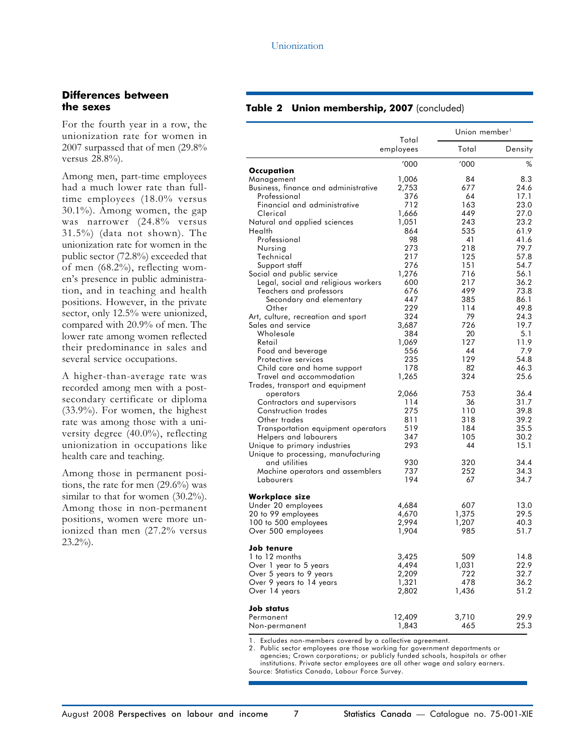#### Differences between the sexes

For the fourth year in a row, the unionization rate for women in 2007 surpassed that of men (29.8% versus 28.8%).

Among men, part-time employees had a much lower rate than fulltime employees (18.0% versus 30.1%). Among women, the gap was narrower (24.8% versus 31.5%) (data not shown). The unionization rate for women in the public sector (72.8%) exceeded that of men (68.2%), reflecting women's presence in public administration, and in teaching and health positions. However, in the private sector, only 12.5% were unionized, compared with 20.9% of men. The lower rate among women reflected their predominance in sales and several service occupations.

A higher-than-average rate was recorded among men with a postsecondary certificate or diploma (33.9%). For women, the highest rate was among those with a university degree (40.0%), reflecting unionization in occupations like health care and teaching.

Among those in permanent positions, the rate for men (29.6%) was similar to that for women (30.2%). Among those in non-permanent positions, women were more unionized than men (27.2% versus  $23.2\%$ ).

#### Table 2 Union membership, 2007 (concluded)

|                                                             |                    | Union member <sup>1</sup> |             |  |
|-------------------------------------------------------------|--------------------|---------------------------|-------------|--|
|                                                             | Total<br>employees | Total                     | Density     |  |
|                                                             | '000               | '000                      | %           |  |
| Occupation                                                  |                    |                           |             |  |
| Management                                                  | 1,006<br>2,753     | 84<br>677                 | 8.3<br>24.6 |  |
| Business, finance and administrative<br>Professional        | 376                | 64                        | 17.1        |  |
| Financial and administrative                                | 712                | 163                       | 23.0        |  |
| Clerical                                                    | 1,666              | 449                       | 27.0        |  |
| Natural and applied sciences                                | 1,051              | 243                       | 23.2        |  |
| Health                                                      | 864                | 535                       | 61.9        |  |
| Professional                                                | 98                 | 41                        | 41.6        |  |
| Nursing                                                     | 273                | 218                       | 79.7        |  |
| Technical                                                   | 217                | 125                       | 57.8        |  |
| Support staff                                               | 276                | 151                       | 54.7        |  |
| Social and public service                                   | 1,276              | 716                       | 56.1        |  |
| Legal, social and religious workers                         | 600                | 217                       | 36.2        |  |
| Teachers and professors                                     | 676                | 499                       | 73.8        |  |
| Secondary and elementary                                    | 447                | 385                       | 86.1        |  |
| Other                                                       | 229                | 114                       | 49.8        |  |
| Art, culture, recreation and sport                          | 324                | 79                        | 24.3        |  |
| Sales and service                                           | 3,687              | 726                       | 19.7        |  |
| Wholesale                                                   | 384                | 20                        | 5.1         |  |
| Retail                                                      | 1,069              | 127                       | 11.9        |  |
| Food and beverage                                           | 556                | 44                        | 7.9         |  |
| Protective services                                         | 235                | 129                       | 54.8        |  |
| Child care and home support                                 | 178                | 82                        | 46.3        |  |
| Travel and accommodation<br>Trades, transport and equipment | 1,265              | 324                       | 25.6        |  |
| operators                                                   | 2,066              | 753                       | 36.4        |  |
| Contractors and supervisors                                 | 114                | 36                        | 31.7        |  |
| Construction trades                                         | 275                | 110                       | 39.8        |  |
| Other trades                                                | 811                | 318                       | 39.2        |  |
| Transportation equipment operators                          | 519                | 184                       | 35.5        |  |
| Helpers and labourers                                       | 347                | 105                       | 30.2        |  |
| Unique to primary industries                                | 293                | 44                        | 15.1        |  |
| Unique to processing, manufacturing                         |                    |                           |             |  |
| and utilities                                               | 930                | 320                       | 34.4        |  |
| Machine operators and assemblers                            | 737                | 252                       | 34.3        |  |
| Labourers                                                   | 194                | 67                        | 34.7        |  |
| Workplace size                                              |                    |                           |             |  |
| Under 20 employees                                          | 4,684              | 607                       | 13.0        |  |
| 20 to 99 employees                                          | 4,670              | 1,375                     | 29.5        |  |
| 100 to 500 employees                                        | 2,994              | 1,207                     | 40.3        |  |
| Over 500 employees                                          | 1,904              | 985                       | 51.7        |  |
| Job tenure                                                  |                    |                           |             |  |
| 1 to 12 months                                              | 3,425              | 509                       | 14.8        |  |
| Over 1 year to 5 years                                      | 4,494              | 1,031                     | 22.9        |  |
| Over 5 years to 9 years                                     | 2,209              | 722                       | 32.7        |  |
| Over 9 years to 14 years                                    | 1,321              | 478                       | 36.2        |  |
| Over 14 years                                               | 2,802              | 1,436                     | 51.2        |  |
| Job status                                                  |                    |                           |             |  |
| Permanent                                                   | 12,409             | 3,710                     | 29.9        |  |
| Non-permanent                                               | 1,843              | 465                       | 25.3        |  |

1. Excludes non-members covered by a collective agreement.

2. Public sector employees are those working for government departments or agencies; Crown corporations; or publicly funded schools, hospitals or other institutions. Private sector employees are all other wage and salary earners. Source: Statistics Canada, Labour Force Survey.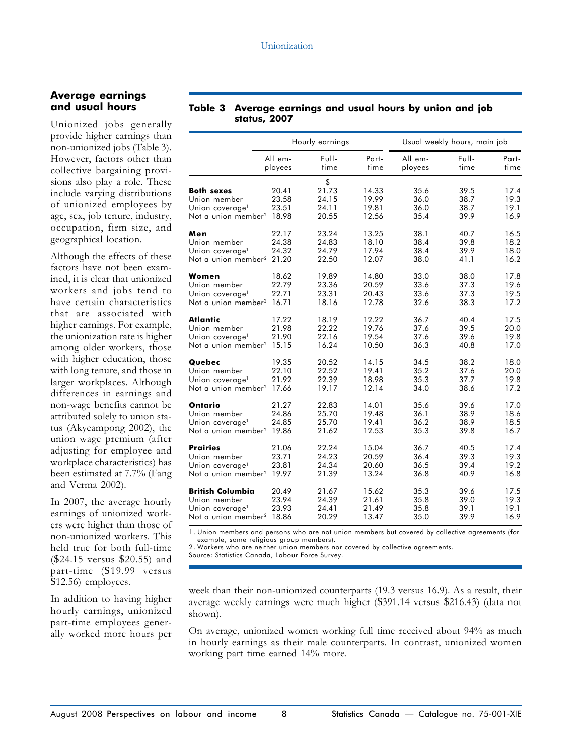#### Average earnings and usual hours

Unionized jobs generally provide higher earnings than non-unionized jobs (Table 3). However, factors other than collective bargaining provisions also play a role. These include varying distributions of unionized employees by age, sex, job tenure, industry, occupation, firm size, and geographical location.

Although the effects of these factors have not been examined, it is clear that unionized workers and jobs tend to have certain characteristics that are associated with higher earnings. For example, the unionization rate is higher among older workers, those with higher education, those with long tenure, and those in larger workplaces. Although differences in earnings and non-wage benefits cannot be attributed solely to union status (Akyeampong 2002), the union wage premium (after adjusting for employee and workplace characteristics) has been estimated at 7.7% (Fang and Verma 2002).

In 2007, the average hourly earnings of unionized workers were higher than those of non-unionized workers. This held true for both full-time (\$24.15 versus \$20.55) and part-time (\$19.99 versus \$12.56) employees.

In addition to having higher hourly earnings, unionized part-time employees generally worked more hours per

#### Table 3 Average earnings and usual hours by union and job status, 2007

|                                                                                                                 |                                  | Hourly earnings                        |                                  |                              | Usual weekly hours, main job |                              |  |  |
|-----------------------------------------------------------------------------------------------------------------|----------------------------------|----------------------------------------|----------------------------------|------------------------------|------------------------------|------------------------------|--|--|
|                                                                                                                 | All em-<br>ployees               | Full-<br>time                          | Part-<br>time                    | All em-<br>ployees           | Full-<br>time                | Part-<br>time                |  |  |
| <b>Both sexes</b><br>Union member<br>Union coverage <sup>1</sup><br>Not a union member <sup>2</sup> 18.98       | 20.41<br>23.58<br>23.51          | \$<br>21.73<br>24.15<br>24.11<br>20.55 | 14.33<br>19.99<br>19.81<br>12.56 | 35.6<br>36.0<br>36.0<br>35.4 | 39.5<br>38.7<br>38.7<br>39.9 | 17.4<br>19.3<br>19.1<br>16.9 |  |  |
| Men<br>Union member<br>Union coverage <sup>1</sup><br>Not a union member <sup>2</sup>                           | 22.17<br>24.38<br>24.32<br>21.20 | 23.24<br>24.83<br>24.79<br>22.50       | 13.25<br>18.10<br>17.94<br>12.07 | 38.1<br>38.4<br>38.4<br>38.0 | 40.7<br>39.8<br>39.9<br>41.1 | 16.5<br>18.2<br>18.0<br>16.2 |  |  |
| Women<br>Union member<br>Union coverage <sup>1</sup><br>Not a union member <sup>2</sup>                         | 18.62<br>22.79<br>22.71<br>16.71 | 19.89<br>23.36<br>23.31<br>18.16       | 14.80<br>20.59<br>20.43<br>12.78 | 33.0<br>33.6<br>33.6<br>32.6 | 38.0<br>37.3<br>37.3<br>38.3 | 17.8<br>19.6<br>19.5<br>17.2 |  |  |
| Atlantic<br>Union member<br>Union coverage <sup>1</sup><br>Not a union member <sup>2</sup> 15.15                | 17.22<br>21.98<br>21.90          | 18.19<br>22.22<br>22.16<br>16.24       | 12.22<br>19.76<br>19.54<br>10.50 | 36.7<br>37.6<br>37.6<br>36.3 | 40.4<br>39.5<br>39.6<br>40.8 | 17.5<br>20.0<br>19.8<br>17.0 |  |  |
| Quebec<br>Union member<br>Union coverage <sup>1</sup><br>Not a union member <sup>2</sup> 17.66                  | 19.35<br>22.10<br>21.92          | 20.52<br>22.52<br>22.39<br>19.17       | 14.15<br>19.41<br>18.98<br>12.14 | 34.5<br>35.2<br>35.3<br>34.0 | 38.2<br>37.6<br>37.7<br>38.6 | 18.0<br>20.0<br>19.8<br>17.2 |  |  |
| Ontario<br>Union member<br>Union coverage <sup>1</sup><br>Not a union member <sup>2</sup> 19.86                 | 21.27<br>24.86<br>24.85          | 22.83<br>25.70<br>25.70<br>21.62       | 14.01<br>19.48<br>19.41<br>12.53 | 35.6<br>36.1<br>36.2<br>35.3 | 39.6<br>38.9<br>38.9<br>39.8 | 17.0<br>18.6<br>18.5<br>16.7 |  |  |
| <b>Prairies</b><br>Union member<br>Union coverage <sup>1</sup><br>Not a union member <sup>2</sup> 19.97         | 21.06<br>23.71<br>23.81          | 22.24<br>24.23<br>24.34<br>21.39       | 15.04<br>20.59<br>20.60<br>13.24 | 36.7<br>36.4<br>36.5<br>36.8 | 40.5<br>39.3<br>39.4<br>40.9 | 17.4<br>19.3<br>19.2<br>16.8 |  |  |
| <b>British Columbia</b><br>Union member<br>Union coverage <sup>1</sup><br>Not a union member <sup>2</sup> 18.86 | 20.49<br>23.94<br>23.93          | 21.67<br>24.39<br>24.41<br>20.29       | 15.62<br>21.61<br>21.49<br>13.47 | 35.3<br>35.8<br>35.8<br>35.0 | 39.6<br>39.0<br>39.1<br>39.9 | 17.5<br>19.3<br>19.1<br>16.9 |  |  |

1. Union members and persons who are not union members but covered by collective agreements (for example, some religious group members).

2. Workers who are neither union members nor covered by collective agreements.

Source: Statistics Canada, Labour Force Survey.

week than their non-unionized counterparts (19.3 versus 16.9). As a result, their average weekly earnings were much higher (\$391.14 versus \$216.43) (data not shown).

On average, unionized women working full time received about 94% as much in hourly earnings as their male counterparts. In contrast, unionized women working part time earned 14% more.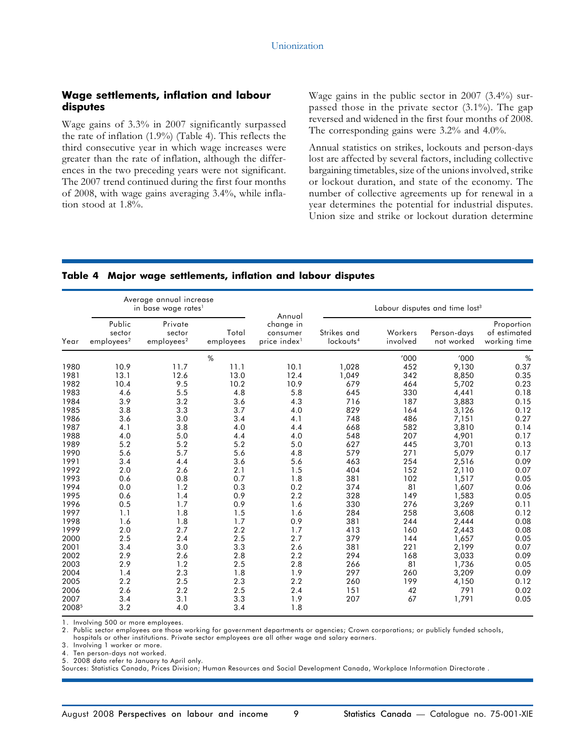#### Wage settlements, inflation and labour disputes

Wage gains of 3.3% in 2007 significantly surpassed the rate of inflation (1.9%) (Table 4). This reflects the third consecutive year in which wage increases were greater than the rate of inflation, although the differences in the two preceding years were not significant. The 2007 trend continued during the first four months of 2008, with wage gains averaging 3.4%, while inflation stood at 1.8%.

Wage gains in the public sector in 2007 (3.4%) surpassed those in the private sector (3.1%). The gap reversed and widened in the first four months of 2008. The corresponding gains were 3.2% and 4.0%.

Annual statistics on strikes, lockouts and person-days lost are affected by several factors, including collective bargaining timetables, size of the unions involved, strike or lockout duration, and state of the economy. The number of collective agreements up for renewal in a year determines the potential for industrial disputes. Union size and strike or lockout duration determine

#### Table 4 Major wage settlements, inflation and labour disputes

|       |                                            | Average annual increase<br>in base wage rates <sup>1</sup> |                    | Annual                                            | Labour disputes and time lost <sup>3</sup> |                     |                           |                                            |
|-------|--------------------------------------------|------------------------------------------------------------|--------------------|---------------------------------------------------|--------------------------------------------|---------------------|---------------------------|--------------------------------------------|
| Year  | Public<br>sector<br>employees <sup>2</sup> | Private<br>sector<br>employees <sup>2</sup>                | Total<br>employees | change in<br>consumer<br>price index <sup>1</sup> | Strikes and<br>lockouts <sup>4</sup>       | Workers<br>involved | Person-days<br>not worked | Proportion<br>of estimated<br>working time |
|       |                                            |                                                            | $\frac{0}{0}$      |                                                   |                                            | '000                | '000                      | $\%$                                       |
| 1980  | 10.9                                       | 11.7                                                       | 11.1               | 10.1                                              | 1,028                                      | 452                 | 9,130                     | 0.37                                       |
| 1981  | 13.1                                       | 12.6                                                       | 13.0               | 12.4                                              | 1,049                                      | 342                 | 8,850                     | 0.35                                       |
| 1982  | 10.4                                       | 9.5                                                        | 10.2               | 10.9                                              | 679                                        | 464                 | 5,702                     | 0.23                                       |
| 1983  | 4.6                                        | 5.5                                                        | 4.8                | 5.8                                               | 645                                        | 330                 | 4,441                     | 0.18                                       |
| 1984  | 3.9                                        | 3.2                                                        | 3.6                | 4.3                                               | 716                                        | 187                 | 3,883                     | 0.15                                       |
| 1985  | 3.8                                        | 3.3                                                        | 3.7                | 4.0                                               | 829                                        | 164                 | 3,126                     | 0.12                                       |
| 1986  | 3.6                                        | 3.0                                                        | 3.4                | 4.1                                               | 748                                        | 486                 | 7,151                     | 0.27                                       |
| 1987  | 4.1                                        | 3.8                                                        | 4.0                | 4.4                                               | 668                                        | 582                 | 3,810                     | 0.14                                       |
| 1988  | 4.0                                        | 5.0                                                        | 4.4                | 4.0                                               | 548                                        | 207                 | 4,901                     | 0.17                                       |
| 1989  | 5.2                                        | 5.2                                                        | 5.2                | 5.0                                               | 627                                        | 445                 | 3,701                     | 0.13                                       |
| 1990  | 5.6                                        | 5.7                                                        | 5.6                | 4.8                                               | 579                                        | 271                 | 5,079                     | 0.17                                       |
| 1991  | 3.4                                        | 4.4                                                        | 3.6                | 5.6                                               | 463                                        | 254                 | 2,516                     | 0.09                                       |
| 1992  | 2.0                                        | 2.6                                                        | 2.1                | 1.5                                               | 404                                        | 152                 | 2,110                     | 0.07                                       |
| 1993  | 0.6                                        | 0.8                                                        | 0.7                | 1.8                                               | 381                                        | 102                 | 1,517                     | 0.05                                       |
| 1994  | 0.0                                        | 1.2                                                        | 0.3                | 0.2                                               | 374                                        | 81                  | 1,607                     | 0.06                                       |
| 1995  | 0.6                                        | 1.4                                                        | 0.9                | 2.2                                               | 328                                        | 149                 | 1,583                     | 0.05                                       |
| 1996  | 0.5                                        | 1.7                                                        | 0.9                | 1.6                                               | 330                                        | 276                 | 3,269                     | 0.11                                       |
| 1997  | 1.1                                        | 1.8                                                        | 1.5                | 1.6                                               | 284                                        | 258                 | 3,608                     | 0.12                                       |
| 1998  | 1.6                                        | 1.8                                                        | 1.7                | 0.9                                               | 381                                        | 244                 | 2,444                     | 0.08                                       |
| 1999  | 2.0                                        | 2.7                                                        | 2.2                | 1.7                                               | 413                                        | 160                 | 2,443                     | 0.08                                       |
| 2000  | 2.5                                        | 2.4                                                        | 2.5                | 2.7                                               | 379                                        | 144                 | 1,657                     | 0.05                                       |
| 2001  | 3.4                                        | 3.0                                                        | 3.3                | 2.6                                               | 381                                        | 221                 | 2,199                     | 0.07                                       |
| 2002  | 2.9                                        | 2.6                                                        | 2.8                | 2.2                                               | 294                                        | 168                 | 3,033                     | 0.09                                       |
| 2003  | 2.9                                        | 1.2                                                        | 2.5                | 2.8                                               | 266                                        | 81                  | 1,736                     | 0.05                                       |
| 2004  | 1.4                                        | 2.3                                                        | 1.8                | 1.9                                               | 297                                        | 260                 | 3,209                     | 0.09                                       |
| 2005  | 2.2                                        | 2.5                                                        | 2.3                | 2.2                                               | 260                                        | 199                 | 4,150                     | 0.12                                       |
| 2006  | 2.6                                        | 2.2                                                        | 2.5                | 2.4                                               | 151                                        | 42                  | 791                       | 0.02                                       |
| 2007  | 3.4                                        | 3.1                                                        | 3.3                | 1.9                                               | 207                                        | 67                  | 1,791                     | 0.05                                       |
| 20085 | 3.2                                        | 4.0                                                        | 3.4                | 1.8                                               |                                            |                     |                           |                                            |

1. Involving 500 or more employees.

2. Public sector employees are those working for government departments or agencies; Crown corporations; or publicly funded schools,

hospitals or other institutions. Private sector employees are all other wage and salary earners.

3. Involving 1 worker or more.

4. Ten person-days not worked.

5. 2008 data refer to January to April only.

Sources: Statistics Canada, Prices Division; Human Resources and Social Development Canada, Workplace Information Directorate .

August 2008 Perspectives on labour and income 9 Statistics Canada - Catalogue no. 75-001-XIE